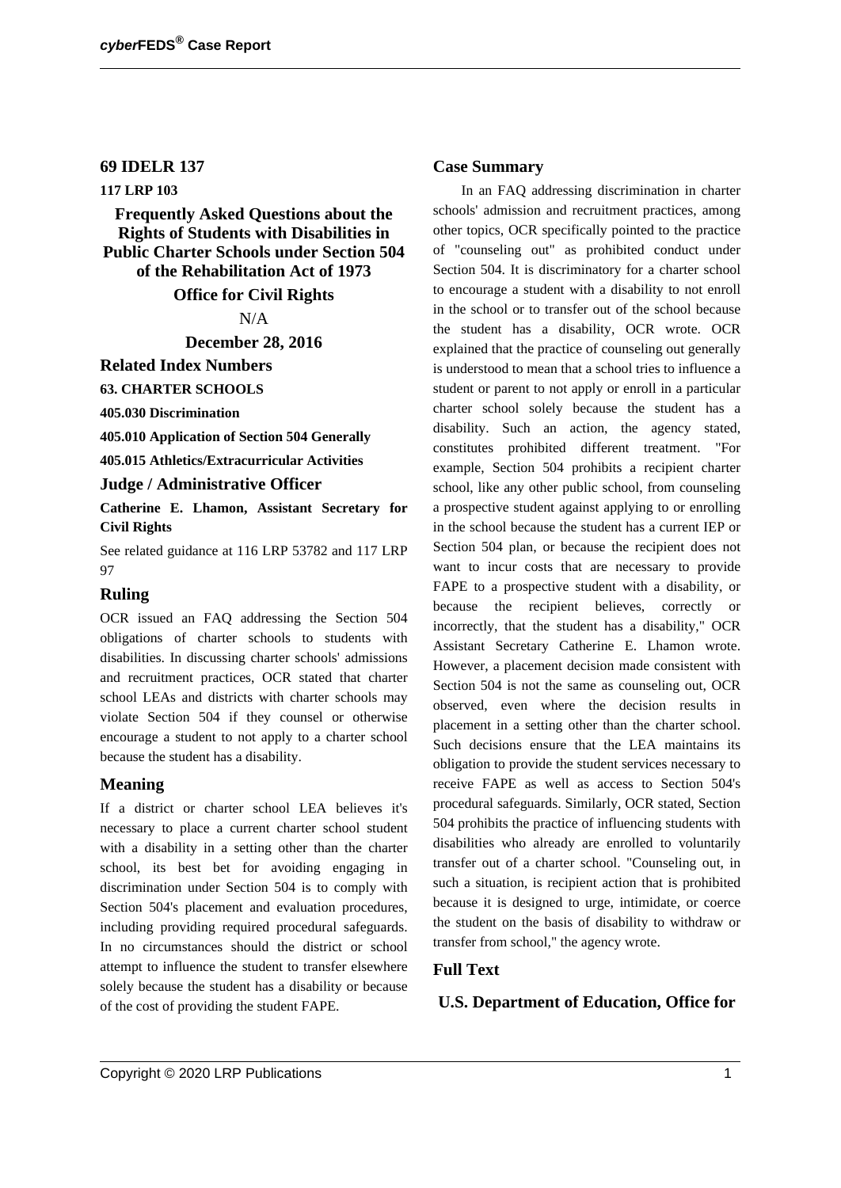#### **69 IDELR 137**

### **117 LRP 103**

**Frequently Asked Questions about the Rights of Students with Disabilities in Public Charter Schools under Section 504 of the Rehabilitation Act of 1973**

#### **Office for Civil Rights**

N/A

**December 28, 2016**

**Related Index Numbers**

**63. CHARTER SCHOOLS**

**405.030 Discrimination**

**405.010 Application of Section 504 Generally**

**405.015 Athletics/Extracurricular Activities**

### **Judge / Administrative Officer**

**Catherine E. Lhamon, Assistant Secretary for Civil Rights**

See related guidance at 116 LRP 53782 and 117 LRP 97

#### **Ruling**

OCR issued an FAQ addressing the Section 504 obligations of charter schools to students with disabilities. In discussing charter schools' admissions and recruitment practices, OCR stated that charter school LEAs and districts with charter schools may violate Section 504 if they counsel or otherwise encourage a student to not apply to a charter school because the student has a disability.

#### **Meaning**

If a district or charter school LEA believes it's necessary to place a current charter school student with a disability in a setting other than the charter school, its best bet for avoiding engaging in discrimination under Section 504 is to comply with Section 504's placement and evaluation procedures, including providing required procedural safeguards. In no circumstances should the district or school attempt to influence the student to transfer elsewhere solely because the student has a disability or because of the cost of providing the student FAPE.

#### **Case Summary**

In an FAQ addressing discrimination in charter schools' admission and recruitment practices, among other topics, OCR specifically pointed to the practice of "counseling out" as prohibited conduct under Section 504. It is discriminatory for a charter school to encourage a student with a disability to not enroll in the school or to transfer out of the school because the student has a disability, OCR wrote. OCR explained that the practice of counseling out generally is understood to mean that a school tries to influence a student or parent to not apply or enroll in a particular charter school solely because the student has a disability. Such an action, the agency stated, constitutes prohibited different treatment. "For example, Section 504 prohibits a recipient charter school, like any other public school, from counseling a prospective student against applying to or enrolling in the school because the student has a current IEP or Section 504 plan, or because the recipient does not want to incur costs that are necessary to provide FAPE to a prospective student with a disability, or because the recipient believes, correctly or incorrectly, that the student has a disability," OCR Assistant Secretary Catherine E. Lhamon wrote. However, a placement decision made consistent with Section 504 is not the same as counseling out, OCR observed, even where the decision results in placement in a setting other than the charter school. Such decisions ensure that the LEA maintains its obligation to provide the student services necessary to receive FAPE as well as access to Section 504's procedural safeguards. Similarly, OCR stated, Section 504 prohibits the practice of influencing students with disabilities who already are enrolled to voluntarily transfer out of a charter school. "Counseling out, in such a situation, is recipient action that is prohibited because it is designed to urge, intimidate, or coerce the student on the basis of disability to withdraw or transfer from school," the agency wrote.

#### **Full Text**

### **U.S. Department of Education, Office for**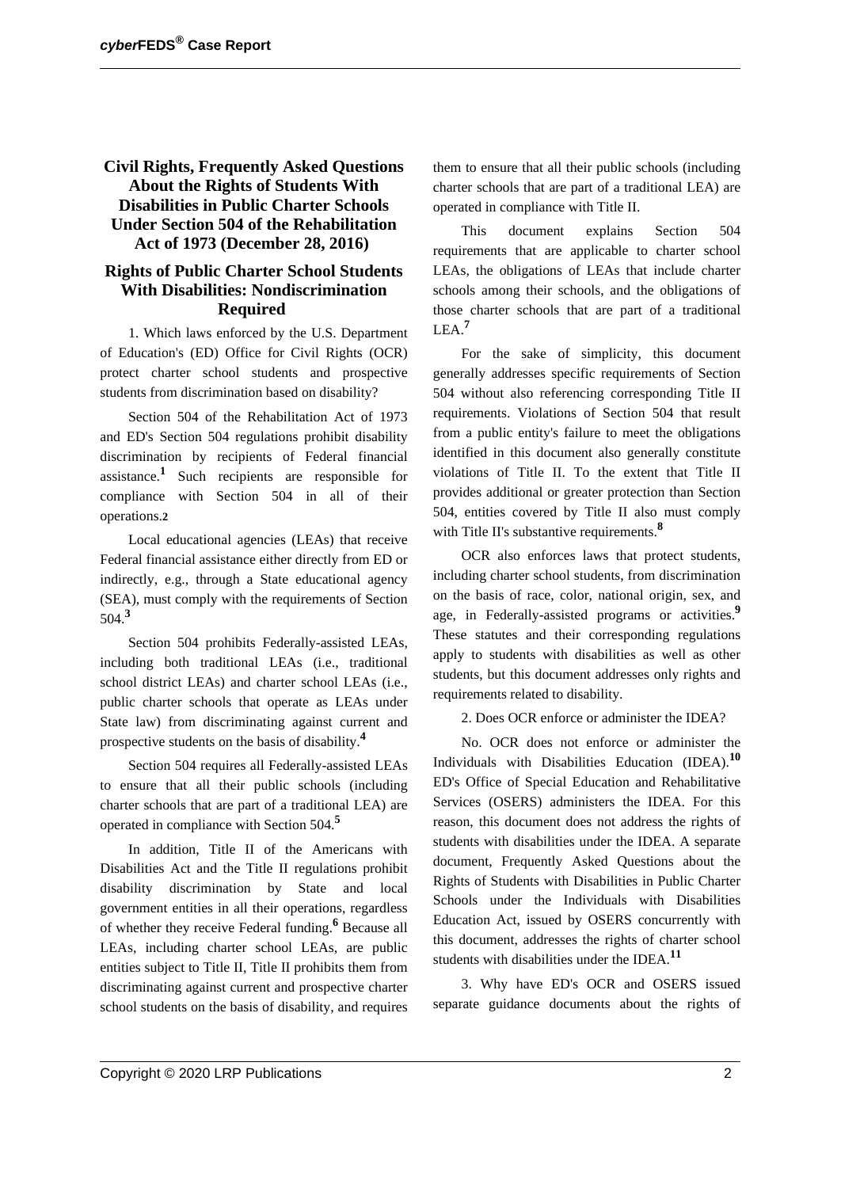## **Civil Rights, Frequently Asked Questions About the Rights of Students With Disabilities in Public Charter Schools Under Section 504 of the Rehabilitation Act of 1973 (December 28, 2016)**

## **Rights of Public Charter School Students With Disabilities: Nondiscrimination Required**

1. Which laws enforced by the U.S. Department of Education's (ED) Office for Civil Rights (OCR) protect charter school students and prospective students from discrimination based on disability?

Section 504 of the Rehabilitation Act of 1973 and ED's Section 504 regulations prohibit disability discrimination by recipients of Federal financial assistance.**<sup>1</sup>** Such recipients are responsible for compliance with Section 504 in all of their operations.**2**

Local educational agencies (LEAs) that receive Federal financial assistance either directly from ED or indirectly, e.g., through a State educational agency (SEA), must comply with the requirements of Section 504.**<sup>3</sup>**

Section 504 prohibits Federally-assisted LEAs, including both traditional LEAs (i.e., traditional school district LEAs) and charter school LEAs (i.e., public charter schools that operate as LEAs under State law) from discriminating against current and prospective students on the basis of disability.**<sup>4</sup>**

Section 504 requires all Federally-assisted LEAs to ensure that all their public schools (including charter schools that are part of a traditional LEA) are operated in compliance with Section 504.**<sup>5</sup>**

In addition, Title II of the Americans with Disabilities Act and the Title II regulations prohibit disability discrimination by State and local government entities in all their operations, regardless of whether they receive Federal funding.**<sup>6</sup>** Because all LEAs, including charter school LEAs, are public entities subject to Title II, Title II prohibits them from discriminating against current and prospective charter school students on the basis of disability, and requires

them to ensure that all their public schools (including charter schools that are part of a traditional LEA) are operated in compliance with Title II.

This document explains Section 504 requirements that are applicable to charter school LEAs, the obligations of LEAs that include charter schools among their schools, and the obligations of those charter schools that are part of a traditional LEA.**<sup>7</sup>**

For the sake of simplicity, this document generally addresses specific requirements of Section 504 without also referencing corresponding Title II requirements. Violations of Section 504 that result from a public entity's failure to meet the obligations identified in this document also generally constitute violations of Title II. To the extent that Title II provides additional or greater protection than Section 504, entities covered by Title II also must comply with Title II's substantive requirements.<sup>8</sup>

OCR also enforces laws that protect students, including charter school students, from discrimination on the basis of race, color, national origin, sex, and age, in Federally-assisted programs or activities.**<sup>9</sup>** These statutes and their corresponding regulations apply to students with disabilities as well as other students, but this document addresses only rights and requirements related to disability.

2. Does OCR enforce or administer the IDEA?

No. OCR does not enforce or administer the Individuals with Disabilities Education (IDEA).**<sup>10</sup>** ED's Office of Special Education and Rehabilitative Services (OSERS) administers the IDEA. For this reason, this document does not address the rights of students with disabilities under the IDEA. A separate document, Frequently Asked Questions about the Rights of Students with Disabilities in Public Charter Schools under the Individuals with Disabilities Education Act, issued by OSERS concurrently with this document, addresses the rights of charter school students with disabilities under the IDEA.**<sup>11</sup>**

3. Why have ED's OCR and OSERS issued separate guidance documents about the rights of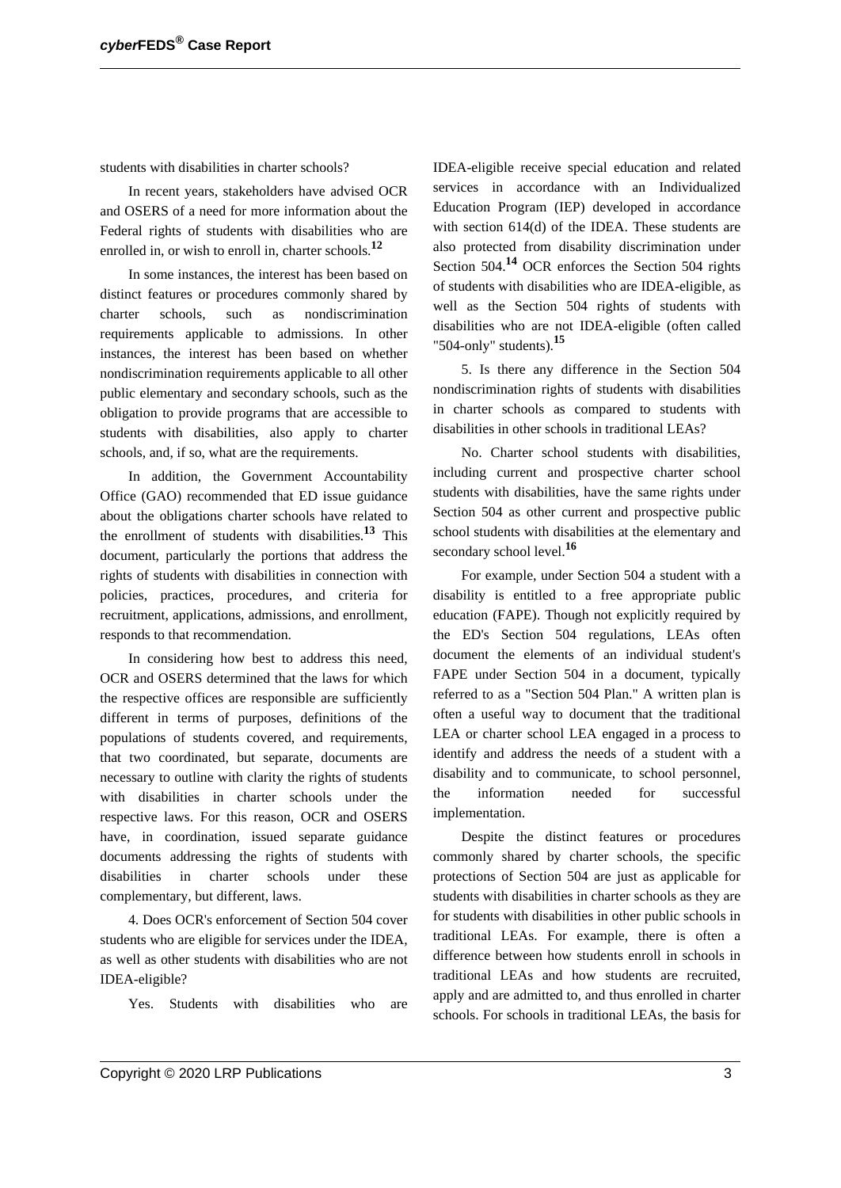students with disabilities in charter schools?

In recent years, stakeholders have advised OCR and OSERS of a need for more information about the Federal rights of students with disabilities who are enrolled in, or wish to enroll in, charter schools.**<sup>12</sup>**

In some instances, the interest has been based on distinct features or procedures commonly shared by charter schools, such as nondiscrimination requirements applicable to admissions. In other instances, the interest has been based on whether nondiscrimination requirements applicable to all other public elementary and secondary schools, such as the obligation to provide programs that are accessible to students with disabilities, also apply to charter schools, and, if so, what are the requirements.

In addition, the Government Accountability Office (GAO) recommended that ED issue guidance about the obligations charter schools have related to the enrollment of students with disabilities.**<sup>13</sup>** This document, particularly the portions that address the rights of students with disabilities in connection with policies, practices, procedures, and criteria for recruitment, applications, admissions, and enrollment, responds to that recommendation.

In considering how best to address this need, OCR and OSERS determined that the laws for which the respective offices are responsible are sufficiently different in terms of purposes, definitions of the populations of students covered, and requirements, that two coordinated, but separate, documents are necessary to outline with clarity the rights of students with disabilities in charter schools under the respective laws. For this reason, OCR and OSERS have, in coordination, issued separate guidance documents addressing the rights of students with disabilities in charter schools under these complementary, but different, laws.

4. Does OCR's enforcement of Section 504 cover students who are eligible for services under the IDEA, as well as other students with disabilities who are not IDEA-eligible?

Yes. Students with disabilities who are

IDEA-eligible receive special education and related services in accordance with an Individualized Education Program (IEP) developed in accordance with section 614(d) of the IDEA. These students are also protected from disability discrimination under Section 504.**<sup>14</sup>** OCR enforces the Section 504 rights of students with disabilities who are IDEA-eligible, as well as the Section 504 rights of students with disabilities who are not IDEA-eligible (often called "504-only" students).**<sup>15</sup>**

5. Is there any difference in the Section 504 nondiscrimination rights of students with disabilities in charter schools as compared to students with disabilities in other schools in traditional LEAs?

No. Charter school students with disabilities, including current and prospective charter school students with disabilities, have the same rights under Section 504 as other current and prospective public school students with disabilities at the elementary and secondary school level.**<sup>16</sup>**

For example, under Section 504 a student with a disability is entitled to a free appropriate public education (FAPE). Though not explicitly required by the ED's Section 504 regulations, LEAs often document the elements of an individual student's FAPE under Section 504 in a document, typically referred to as a "Section 504 Plan." A written plan is often a useful way to document that the traditional LEA or charter school LEA engaged in a process to identify and address the needs of a student with a disability and to communicate, to school personnel, the information needed for successful implementation.

Despite the distinct features or procedures commonly shared by charter schools, the specific protections of Section 504 are just as applicable for students with disabilities in charter schools as they are for students with disabilities in other public schools in traditional LEAs. For example, there is often a difference between how students enroll in schools in traditional LEAs and how students are recruited, apply and are admitted to, and thus enrolled in charter schools. For schools in traditional LEAs, the basis for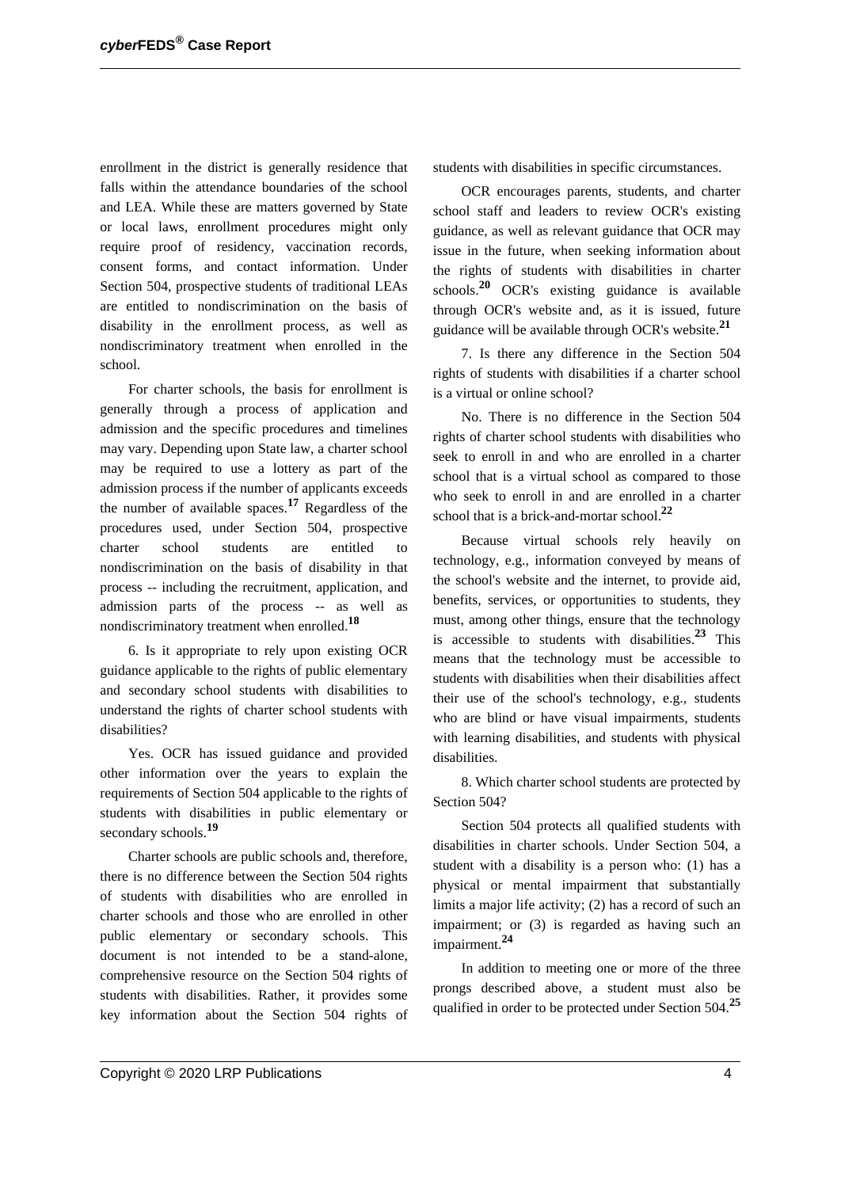enrollment in the district is generally residence that falls within the attendance boundaries of the school and LEA. While these are matters governed by State or local laws, enrollment procedures might only require proof of residency, vaccination records, consent forms, and contact information. Under Section 504, prospective students of traditional LEAs are entitled to nondiscrimination on the basis of disability in the enrollment process, as well as nondiscriminatory treatment when enrolled in the school.

For charter schools, the basis for enrollment is generally through a process of application and admission and the specific procedures and timelines may vary. Depending upon State law, a charter school may be required to use a lottery as part of the admission process if the number of applicants exceeds the number of available spaces.**<sup>17</sup>** Regardless of the procedures used, under Section 504, prospective charter school students are entitled to nondiscrimination on the basis of disability in that process -- including the recruitment, application, and admission parts of the process -- as well as nondiscriminatory treatment when enrolled.**<sup>18</sup>**

6. Is it appropriate to rely upon existing OCR guidance applicable to the rights of public elementary and secondary school students with disabilities to understand the rights of charter school students with disabilities?

Yes. OCR has issued guidance and provided other information over the years to explain the requirements of Section 504 applicable to the rights of students with disabilities in public elementary or secondary schools.**<sup>19</sup>**

Charter schools are public schools and, therefore, there is no difference between the Section 504 rights of students with disabilities who are enrolled in charter schools and those who are enrolled in other public elementary or secondary schools. This document is not intended to be a stand-alone, comprehensive resource on the Section 504 rights of students with disabilities. Rather, it provides some key information about the Section 504 rights of students with disabilities in specific circumstances.

OCR encourages parents, students, and charter school staff and leaders to review OCR's existing guidance, as well as relevant guidance that OCR may issue in the future, when seeking information about the rights of students with disabilities in charter schools.**<sup>20</sup>** OCR's existing guidance is available through OCR's website and, as it is issued, future guidance will be available through OCR's website.**<sup>21</sup>**

7. Is there any difference in the Section 504 rights of students with disabilities if a charter school is a virtual or online school?

No. There is no difference in the Section 504 rights of charter school students with disabilities who seek to enroll in and who are enrolled in a charter school that is a virtual school as compared to those who seek to enroll in and are enrolled in a charter school that is a brick-and-mortar school.**<sup>22</sup>**

Because virtual schools rely heavily on technology, e.g., information conveyed by means of the school's website and the internet, to provide aid, benefits, services, or opportunities to students, they must, among other things, ensure that the technology is accessible to students with disabilities.**<sup>23</sup>** This means that the technology must be accessible to students with disabilities when their disabilities affect their use of the school's technology, e.g., students who are blind or have visual impairments, students with learning disabilities, and students with physical disabilities.

8. Which charter school students are protected by Section 504?

Section 504 protects all qualified students with disabilities in charter schools. Under Section 504, a student with a disability is a person who: (1) has a physical or mental impairment that substantially limits a major life activity; (2) has a record of such an impairment; or (3) is regarded as having such an impairment.**<sup>24</sup>**

In addition to meeting one or more of the three prongs described above, a student must also be qualified in order to be protected under Section 504.**<sup>25</sup>**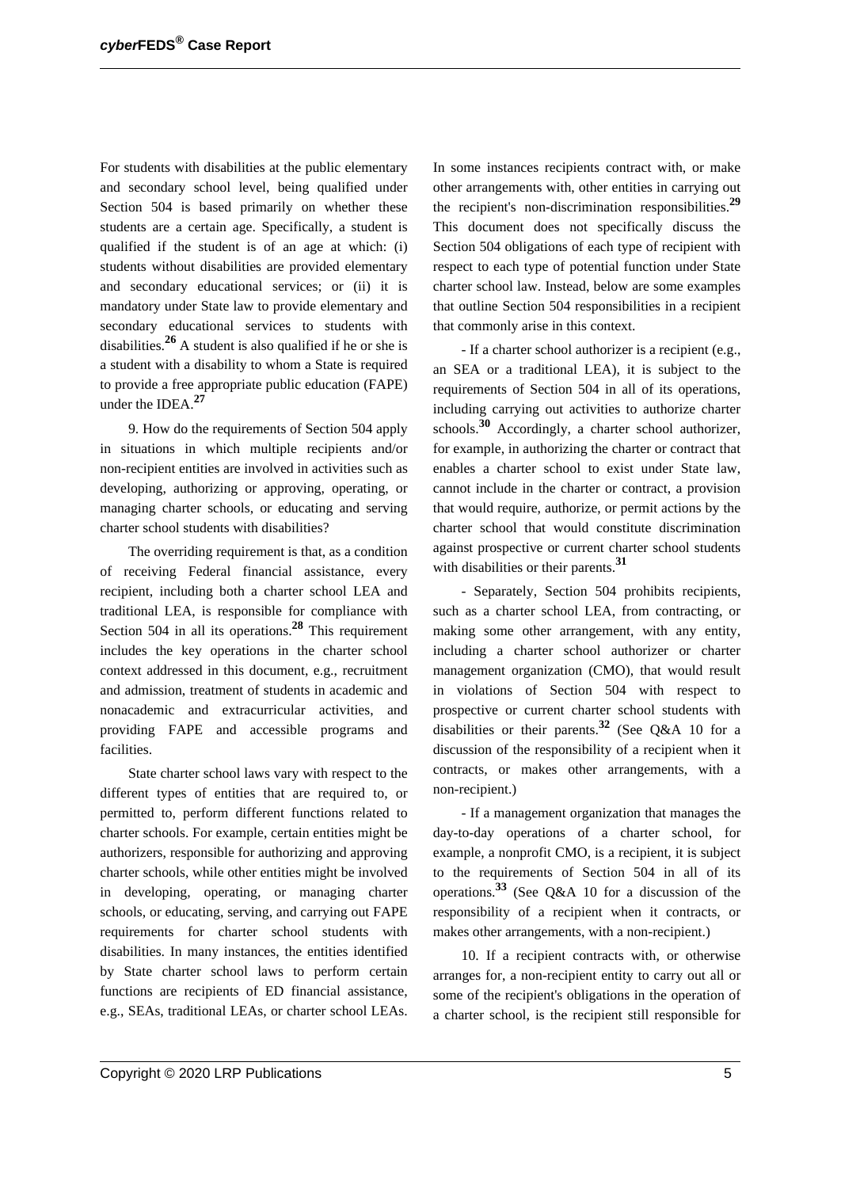For students with disabilities at the public elementary and secondary school level, being qualified under Section 504 is based primarily on whether these students are a certain age. Specifically, a student is qualified if the student is of an age at which: (i) students without disabilities are provided elementary and secondary educational services; or (ii) it is mandatory under State law to provide elementary and secondary educational services to students with disabilities.**<sup>26</sup>** A student is also qualified if he or she is a student with a disability to whom a State is required to provide a free appropriate public education (FAPE) under the IDEA.**<sup>27</sup>**

9. How do the requirements of Section 504 apply in situations in which multiple recipients and/or non-recipient entities are involved in activities such as developing, authorizing or approving, operating, or managing charter schools, or educating and serving charter school students with disabilities?

The overriding requirement is that, as a condition of receiving Federal financial assistance, every recipient, including both a charter school LEA and traditional LEA, is responsible for compliance with Section 504 in all its operations.**<sup>28</sup>** This requirement includes the key operations in the charter school context addressed in this document, e.g., recruitment and admission, treatment of students in academic and nonacademic and extracurricular activities, and providing FAPE and accessible programs and facilities.

State charter school laws vary with respect to the different types of entities that are required to, or permitted to, perform different functions related to charter schools. For example, certain entities might be authorizers, responsible for authorizing and approving charter schools, while other entities might be involved in developing, operating, or managing charter schools, or educating, serving, and carrying out FAPE requirements for charter school students with disabilities. In many instances, the entities identified by State charter school laws to perform certain functions are recipients of ED financial assistance, e.g., SEAs, traditional LEAs, or charter school LEAs. In some instances recipients contract with, or make other arrangements with, other entities in carrying out the recipient's non-discrimination responsibilities.**<sup>29</sup>** This document does not specifically discuss the Section 504 obligations of each type of recipient with respect to each type of potential function under State charter school law. Instead, below are some examples that outline Section 504 responsibilities in a recipient that commonly arise in this context.

- If a charter school authorizer is a recipient (e.g., an SEA or a traditional LEA), it is subject to the requirements of Section 504 in all of its operations, including carrying out activities to authorize charter schools.**<sup>30</sup>** Accordingly, a charter school authorizer, for example, in authorizing the charter or contract that enables a charter school to exist under State law, cannot include in the charter or contract, a provision that would require, authorize, or permit actions by the charter school that would constitute discrimination against prospective or current charter school students with disabilities or their parents.**<sup>31</sup>**

- Separately, Section 504 prohibits recipients, such as a charter school LEA, from contracting, or making some other arrangement, with any entity, including a charter school authorizer or charter management organization (CMO), that would result in violations of Section 504 with respect to prospective or current charter school students with disabilities or their parents.**<sup>32</sup>** (See Q&A 10 for a discussion of the responsibility of a recipient when it contracts, or makes other arrangements, with a non-recipient.)

- If a management organization that manages the day-to-day operations of a charter school, for example, a nonprofit CMO, is a recipient, it is subject to the requirements of Section 504 in all of its operations.**<sup>33</sup>** (See Q&A 10 for a discussion of the responsibility of a recipient when it contracts, or makes other arrangements, with a non-recipient.)

10. If a recipient contracts with, or otherwise arranges for, a non-recipient entity to carry out all or some of the recipient's obligations in the operation of a charter school, is the recipient still responsible for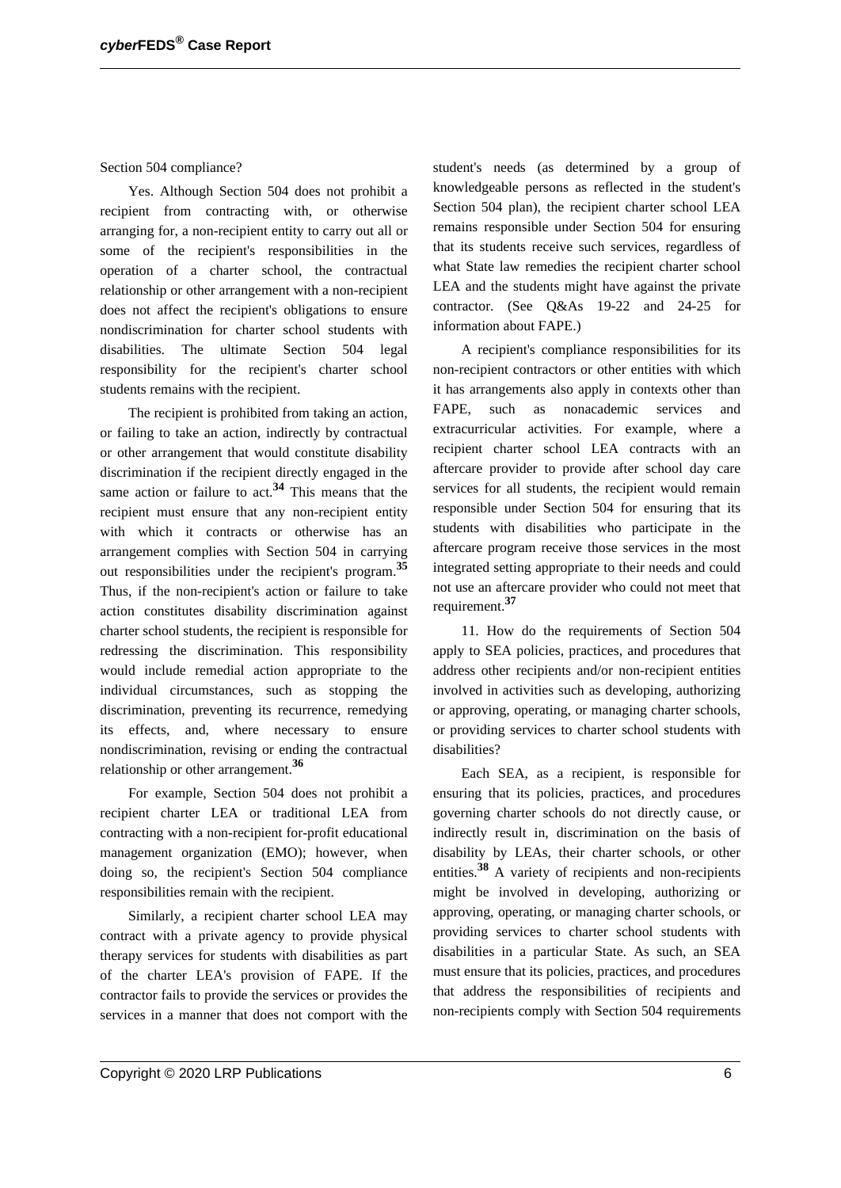Section 504 compliance?

Yes. Although Section 504 does not prohibit a recipient from contracting with, or otherwise arranging for, a non-recipient entity to carry out all or some of the recipient's responsibilities in the operation of a charter school, the contractual relationship or other arrangement with a non-recipient does not affect the recipient's obligations to ensure nondiscrimination for charter school students with disabilities. The ultimate Section 504 legal responsibility for the recipient's charter school students remains with the recipient.

The recipient is prohibited from taking an action, or failing to take an action, indirectly by contractual or other arrangement that would constitute disability discrimination if the recipient directly engaged in the same action or failure to act.**<sup>34</sup>** This means that the recipient must ensure that any non-recipient entity with which it contracts or otherwise has an arrangement complies with Section 504 in carrying out responsibilities under the recipient's program.**<sup>35</sup>** Thus, if the non-recipient's action or failure to take action constitutes disability discrimination against charter school students, the recipient is responsible for redressing the discrimination. This responsibility would include remedial action appropriate to the individual circumstances, such as stopping the discrimination, preventing its recurrence, remedying its effects, and, where necessary to ensure nondiscrimination, revising or ending the contractual relationship or other arrangement.**<sup>36</sup>**

For example, Section 504 does not prohibit a recipient charter LEA or traditional LEA from contracting with a non-recipient for-profit educational management organization (EMO); however, when doing so, the recipient's Section 504 compliance responsibilities remain with the recipient.

Similarly, a recipient charter school LEA may contract with a private agency to provide physical therapy services for students with disabilities as part of the charter LEA's provision of FAPE. If the contractor fails to provide the services or provides the services in a manner that does not comport with the student's needs (as determined by a group of knowledgeable persons as reflected in the student's Section 504 plan), the recipient charter school LEA remains responsible under Section 504 for ensuring that its students receive such services, regardless of what State law remedies the recipient charter school LEA and the students might have against the private contractor. (See Q&As 19-22 and 24-25 for information about FAPE.)

A recipient's compliance responsibilities for its non-recipient contractors or other entities with which it has arrangements also apply in contexts other than FAPE, such as nonacademic services and extracurricular activities. For example, where a recipient charter school LEA contracts with an aftercare provider to provide after school day care services for all students, the recipient would remain responsible under Section 504 for ensuring that its students with disabilities who participate in the aftercare program receive those services in the most integrated setting appropriate to their needs and could not use an aftercare provider who could not meet that requirement.**<sup>37</sup>**

11. How do the requirements of Section 504 apply to SEA policies, practices, and procedures that address other recipients and/or non-recipient entities involved in activities such as developing, authorizing or approving, operating, or managing charter schools, or providing services to charter school students with disabilities?

Each SEA, as a recipient, is responsible for ensuring that its policies, practices, and procedures governing charter schools do not directly cause, or indirectly result in, discrimination on the basis of disability by LEAs, their charter schools, or other entities.**<sup>38</sup>** A variety of recipients and non-recipients might be involved in developing, authorizing or approving, operating, or managing charter schools, or providing services to charter school students with disabilities in a particular State. As such, an SEA must ensure that its policies, practices, and procedures that address the responsibilities of recipients and non-recipients comply with Section 504 requirements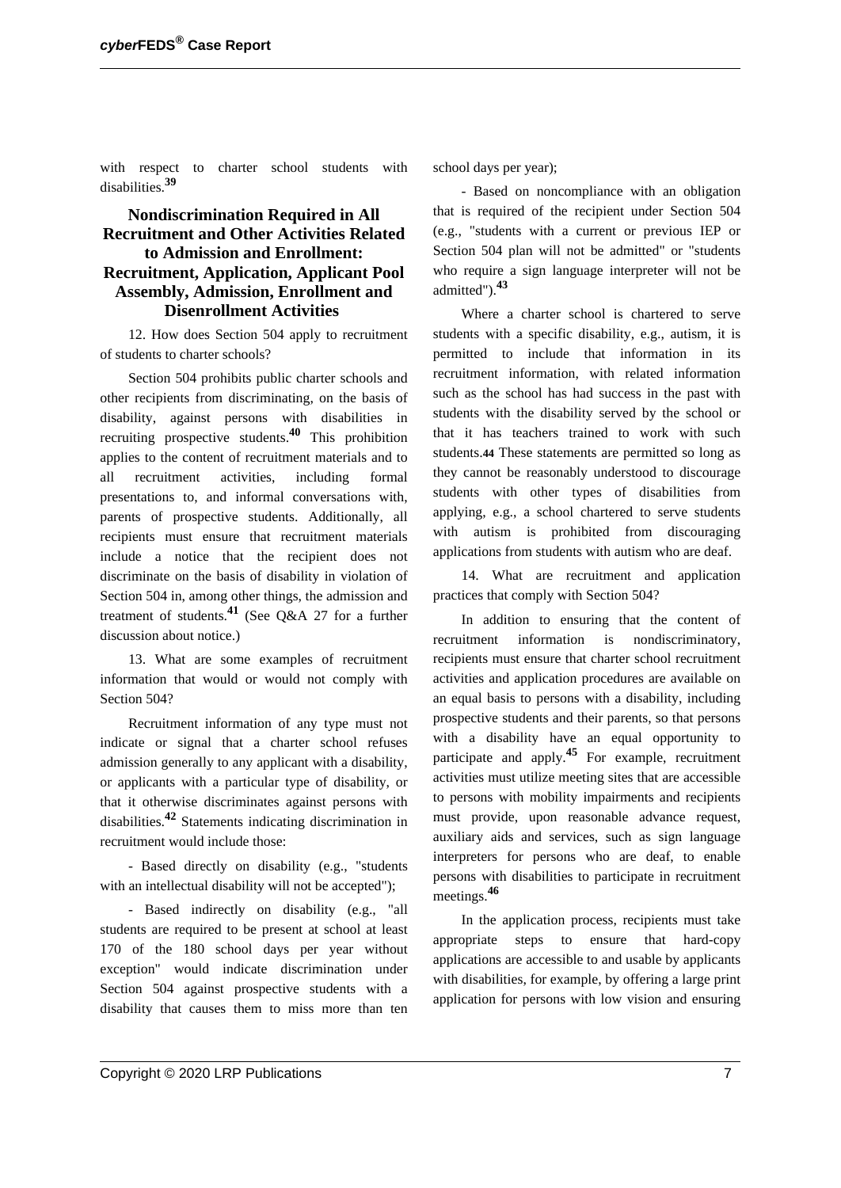with respect to charter school students with disabilities.**<sup>39</sup>**

## **Nondiscrimination Required in All Recruitment and Other Activities Related to Admission and Enrollment: Recruitment, Application, Applicant Pool Assembly, Admission, Enrollment and Disenrollment Activities**

12. How does Section 504 apply to recruitment of students to charter schools?

Section 504 prohibits public charter schools and other recipients from discriminating, on the basis of disability, against persons with disabilities in recruiting prospective students.**<sup>40</sup>** This prohibition applies to the content of recruitment materials and to all recruitment activities, including formal presentations to, and informal conversations with, parents of prospective students. Additionally, all recipients must ensure that recruitment materials include a notice that the recipient does not discriminate on the basis of disability in violation of Section 504 in, among other things, the admission and treatment of students.**<sup>41</sup>** (See Q&A 27 for a further discussion about notice.)

13. What are some examples of recruitment information that would or would not comply with Section 504?

Recruitment information of any type must not indicate or signal that a charter school refuses admission generally to any applicant with a disability, or applicants with a particular type of disability, or that it otherwise discriminates against persons with disabilities.**<sup>42</sup>** Statements indicating discrimination in recruitment would include those:

- Based directly on disability (e.g., "students with an intellectual disability will not be accepted");

- Based indirectly on disability (e.g., "all students are required to be present at school at least 170 of the 180 school days per year without exception" would indicate discrimination under Section 504 against prospective students with a disability that causes them to miss more than ten

school days per year);

- Based on noncompliance with an obligation that is required of the recipient under Section 504 (e.g., "students with a current or previous IEP or Section 504 plan will not be admitted" or "students who require a sign language interpreter will not be admitted").**<sup>43</sup>**

Where a charter school is chartered to serve students with a specific disability, e.g., autism, it is permitted to include that information in its recruitment information, with related information such as the school has had success in the past with students with the disability served by the school or that it has teachers trained to work with such students.**44** These statements are permitted so long as they cannot be reasonably understood to discourage students with other types of disabilities from applying, e.g., a school chartered to serve students with autism is prohibited from discouraging applications from students with autism who are deaf.

14. What are recruitment and application practices that comply with Section 504?

In addition to ensuring that the content of recruitment information is nondiscriminatory, recipients must ensure that charter school recruitment activities and application procedures are available on an equal basis to persons with a disability, including prospective students and their parents, so that persons with a disability have an equal opportunity to participate and apply.**<sup>45</sup>** For example, recruitment activities must utilize meeting sites that are accessible to persons with mobility impairments and recipients must provide, upon reasonable advance request, auxiliary aids and services, such as sign language interpreters for persons who are deaf, to enable persons with disabilities to participate in recruitment meetings.**<sup>46</sup>**

In the application process, recipients must take appropriate steps to ensure that hard-copy applications are accessible to and usable by applicants with disabilities, for example, by offering a large print application for persons with low vision and ensuring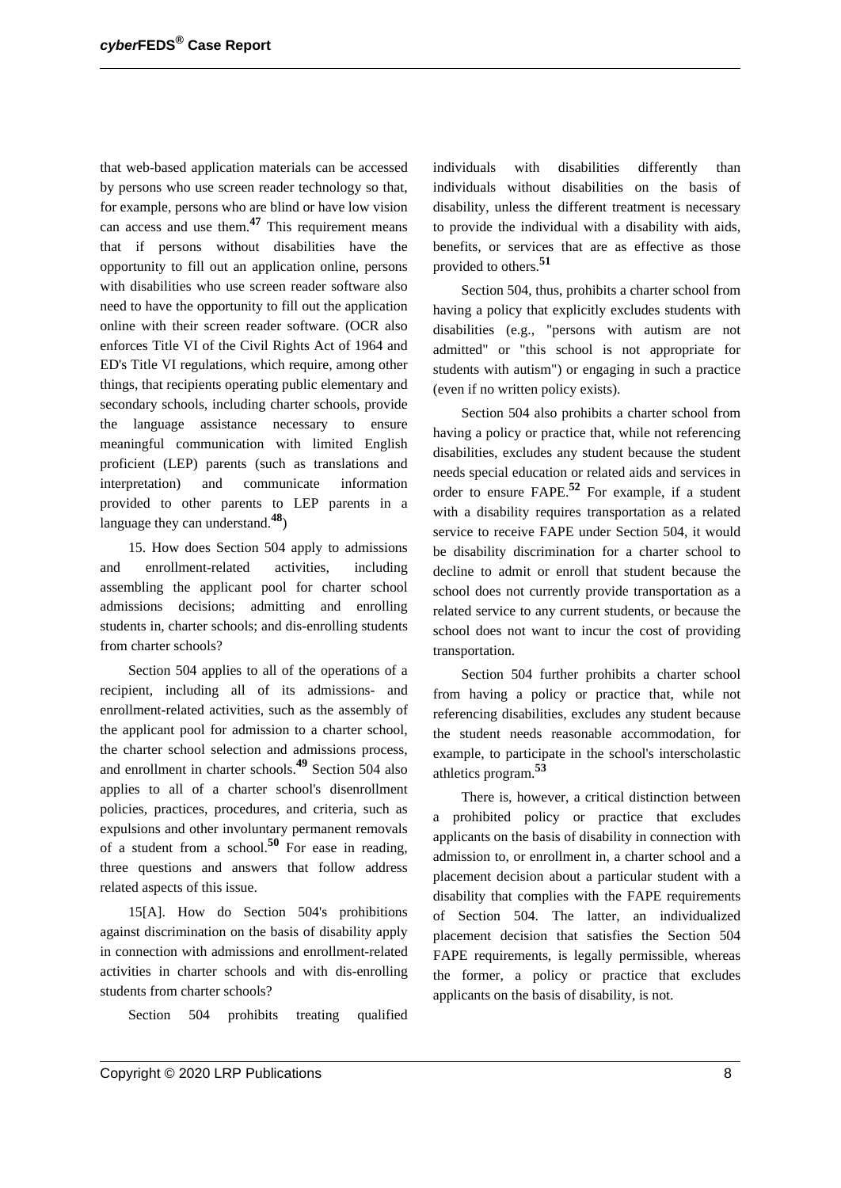that web-based application materials can be accessed by persons who use screen reader technology so that, for example, persons who are blind or have low vision can access and use them.**<sup>47</sup>** This requirement means that if persons without disabilities have the opportunity to fill out an application online, persons with disabilities who use screen reader software also need to have the opportunity to fill out the application online with their screen reader software. (OCR also enforces Title VI of the Civil Rights Act of 1964 and ED's Title VI regulations, which require, among other things, that recipients operating public elementary and secondary schools, including charter schools, provide the language assistance necessary to ensure meaningful communication with limited English proficient (LEP) parents (such as translations and interpretation) and communicate information provided to other parents to LEP parents in a language they can understand.**48**)

15. How does Section 504 apply to admissions and enrollment-related activities, including assembling the applicant pool for charter school admissions decisions; admitting and enrolling students in, charter schools; and dis-enrolling students from charter schools?

Section 504 applies to all of the operations of a recipient, including all of its admissions- and enrollment-related activities, such as the assembly of the applicant pool for admission to a charter school, the charter school selection and admissions process, and enrollment in charter schools.**<sup>49</sup>** Section 504 also applies to all of a charter school's disenrollment policies, practices, procedures, and criteria, such as expulsions and other involuntary permanent removals of a student from a school.**<sup>50</sup>** For ease in reading, three questions and answers that follow address related aspects of this issue.

15[A]. How do Section 504's prohibitions against discrimination on the basis of disability apply in connection with admissions and enrollment-related activities in charter schools and with dis-enrolling students from charter schools?

Section 504 prohibits treating qualified

individuals with disabilities differently than individuals without disabilities on the basis of disability, unless the different treatment is necessary to provide the individual with a disability with aids, benefits, or services that are as effective as those provided to others.**<sup>51</sup>**

Section 504, thus, prohibits a charter school from having a policy that explicitly excludes students with disabilities (e.g., "persons with autism are not admitted" or "this school is not appropriate for students with autism") or engaging in such a practice (even if no written policy exists).

Section 504 also prohibits a charter school from having a policy or practice that, while not referencing disabilities, excludes any student because the student needs special education or related aids and services in order to ensure FAPE.**<sup>52</sup>** For example, if a student with a disability requires transportation as a related service to receive FAPE under Section 504, it would be disability discrimination for a charter school to decline to admit or enroll that student because the school does not currently provide transportation as a related service to any current students, or because the school does not want to incur the cost of providing transportation.

Section 504 further prohibits a charter school from having a policy or practice that, while not referencing disabilities, excludes any student because the student needs reasonable accommodation, for example, to participate in the school's interscholastic athletics program.**<sup>53</sup>**

There is, however, a critical distinction between a prohibited policy or practice that excludes applicants on the basis of disability in connection with admission to, or enrollment in, a charter school and a placement decision about a particular student with a disability that complies with the FAPE requirements of Section 504. The latter, an individualized placement decision that satisfies the Section 504 FAPE requirements, is legally permissible, whereas the former, a policy or practice that excludes applicants on the basis of disability, is not.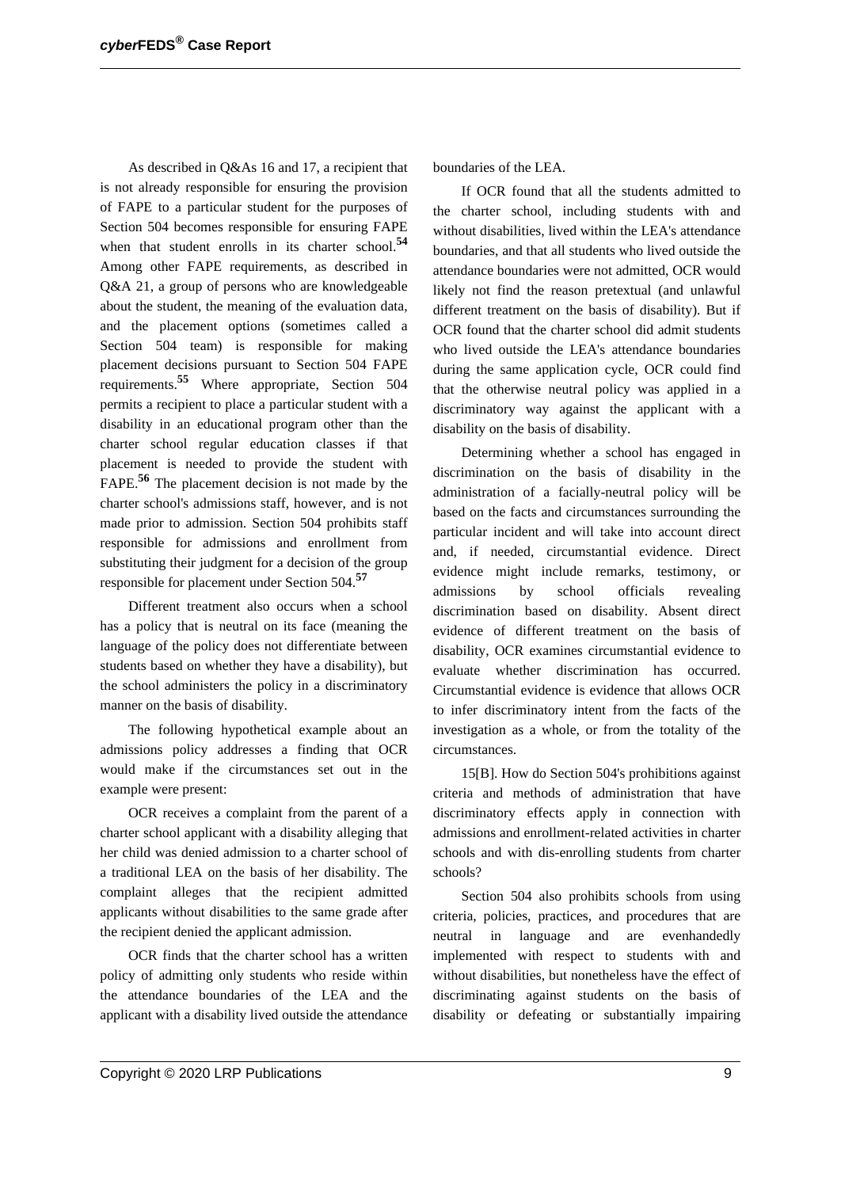As described in Q&As 16 and 17, a recipient that is not already responsible for ensuring the provision of FAPE to a particular student for the purposes of Section 504 becomes responsible for ensuring FAPE when that student enrolls in its charter school.**<sup>54</sup>** Among other FAPE requirements, as described in Q&A 21, a group of persons who are knowledgeable about the student, the meaning of the evaluation data, and the placement options (sometimes called a Section 504 team) is responsible for making placement decisions pursuant to Section 504 FAPE requirements.**<sup>55</sup>** Where appropriate, Section 504 permits a recipient to place a particular student with a disability in an educational program other than the charter school regular education classes if that placement is needed to provide the student with FAPE.**<sup>56</sup>** The placement decision is not made by the charter school's admissions staff, however, and is not made prior to admission. Section 504 prohibits staff responsible for admissions and enrollment from substituting their judgment for a decision of the group responsible for placement under Section 504.**<sup>57</sup>**

Different treatment also occurs when a school has a policy that is neutral on its face (meaning the language of the policy does not differentiate between students based on whether they have a disability), but the school administers the policy in a discriminatory manner on the basis of disability.

The following hypothetical example about an admissions policy addresses a finding that OCR would make if the circumstances set out in the example were present:

OCR receives a complaint from the parent of a charter school applicant with a disability alleging that her child was denied admission to a charter school of a traditional LEA on the basis of her disability. The complaint alleges that the recipient admitted applicants without disabilities to the same grade after the recipient denied the applicant admission.

OCR finds that the charter school has a written policy of admitting only students who reside within the attendance boundaries of the LEA and the applicant with a disability lived outside the attendance boundaries of the LEA.

If OCR found that all the students admitted to the charter school, including students with and without disabilities, lived within the LEA's attendance boundaries, and that all students who lived outside the attendance boundaries were not admitted, OCR would likely not find the reason pretextual (and unlawful different treatment on the basis of disability). But if OCR found that the charter school did admit students who lived outside the LEA's attendance boundaries during the same application cycle, OCR could find that the otherwise neutral policy was applied in a discriminatory way against the applicant with a disability on the basis of disability.

Determining whether a school has engaged in discrimination on the basis of disability in the administration of a facially-neutral policy will be based on the facts and circumstances surrounding the particular incident and will take into account direct and, if needed, circumstantial evidence. Direct evidence might include remarks, testimony, or admissions by school officials revealing discrimination based on disability. Absent direct evidence of different treatment on the basis of disability, OCR examines circumstantial evidence to evaluate whether discrimination has occurred. Circumstantial evidence is evidence that allows OCR to infer discriminatory intent from the facts of the investigation as a whole, or from the totality of the circumstances.

15[B]. How do Section 504's prohibitions against criteria and methods of administration that have discriminatory effects apply in connection with admissions and enrollment-related activities in charter schools and with dis-enrolling students from charter schools?

Section 504 also prohibits schools from using criteria, policies, practices, and procedures that are neutral in language and are evenhandedly implemented with respect to students with and without disabilities, but nonetheless have the effect of discriminating against students on the basis of disability or defeating or substantially impairing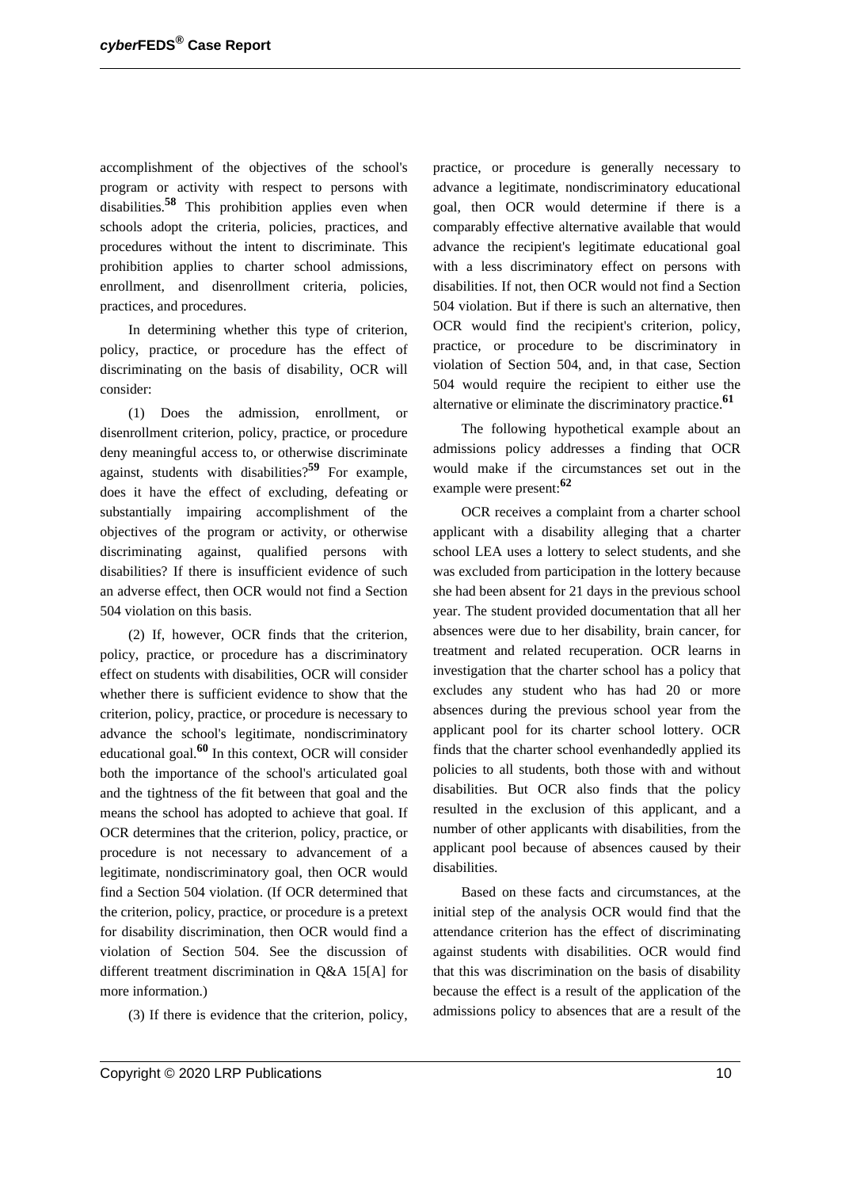accomplishment of the objectives of the school's program or activity with respect to persons with disabilities.**<sup>58</sup>** This prohibition applies even when schools adopt the criteria, policies, practices, and procedures without the intent to discriminate. This prohibition applies to charter school admissions, enrollment, and disenrollment criteria, policies, practices, and procedures.

In determining whether this type of criterion, policy, practice, or procedure has the effect of discriminating on the basis of disability, OCR will consider:

(1) Does the admission, enrollment, or disenrollment criterion, policy, practice, or procedure deny meaningful access to, or otherwise discriminate against, students with disabilities?**<sup>59</sup>** For example, does it have the effect of excluding, defeating or substantially impairing accomplishment of the objectives of the program or activity, or otherwise discriminating against, qualified persons with disabilities? If there is insufficient evidence of such an adverse effect, then OCR would not find a Section 504 violation on this basis.

(2) If, however, OCR finds that the criterion, policy, practice, or procedure has a discriminatory effect on students with disabilities, OCR will consider whether there is sufficient evidence to show that the criterion, policy, practice, or procedure is necessary to advance the school's legitimate, nondiscriminatory educational goal.**<sup>60</sup>** In this context, OCR will consider both the importance of the school's articulated goal and the tightness of the fit between that goal and the means the school has adopted to achieve that goal. If OCR determines that the criterion, policy, practice, or procedure is not necessary to advancement of a legitimate, nondiscriminatory goal, then OCR would find a Section 504 violation. (If OCR determined that the criterion, policy, practice, or procedure is a pretext for disability discrimination, then OCR would find a violation of Section 504. See the discussion of different treatment discrimination in Q&A 15[A] for more information.)

(3) If there is evidence that the criterion, policy,

practice, or procedure is generally necessary to advance a legitimate, nondiscriminatory educational goal, then OCR would determine if there is a comparably effective alternative available that would advance the recipient's legitimate educational goal with a less discriminatory effect on persons with disabilities. If not, then OCR would not find a Section 504 violation. But if there is such an alternative, then OCR would find the recipient's criterion, policy, practice, or procedure to be discriminatory in violation of Section 504, and, in that case, Section 504 would require the recipient to either use the alternative or eliminate the discriminatory practice.**<sup>61</sup>**

The following hypothetical example about an admissions policy addresses a finding that OCR would make if the circumstances set out in the example were present:**<sup>62</sup>**

OCR receives a complaint from a charter school applicant with a disability alleging that a charter school LEA uses a lottery to select students, and she was excluded from participation in the lottery because she had been absent for 21 days in the previous school year. The student provided documentation that all her absences were due to her disability, brain cancer, for treatment and related recuperation. OCR learns in investigation that the charter school has a policy that excludes any student who has had 20 or more absences during the previous school year from the applicant pool for its charter school lottery. OCR finds that the charter school evenhandedly applied its policies to all students, both those with and without disabilities. But OCR also finds that the policy resulted in the exclusion of this applicant, and a number of other applicants with disabilities, from the applicant pool because of absences caused by their disabilities.

Based on these facts and circumstances, at the initial step of the analysis OCR would find that the attendance criterion has the effect of discriminating against students with disabilities. OCR would find that this was discrimination on the basis of disability because the effect is a result of the application of the admissions policy to absences that are a result of the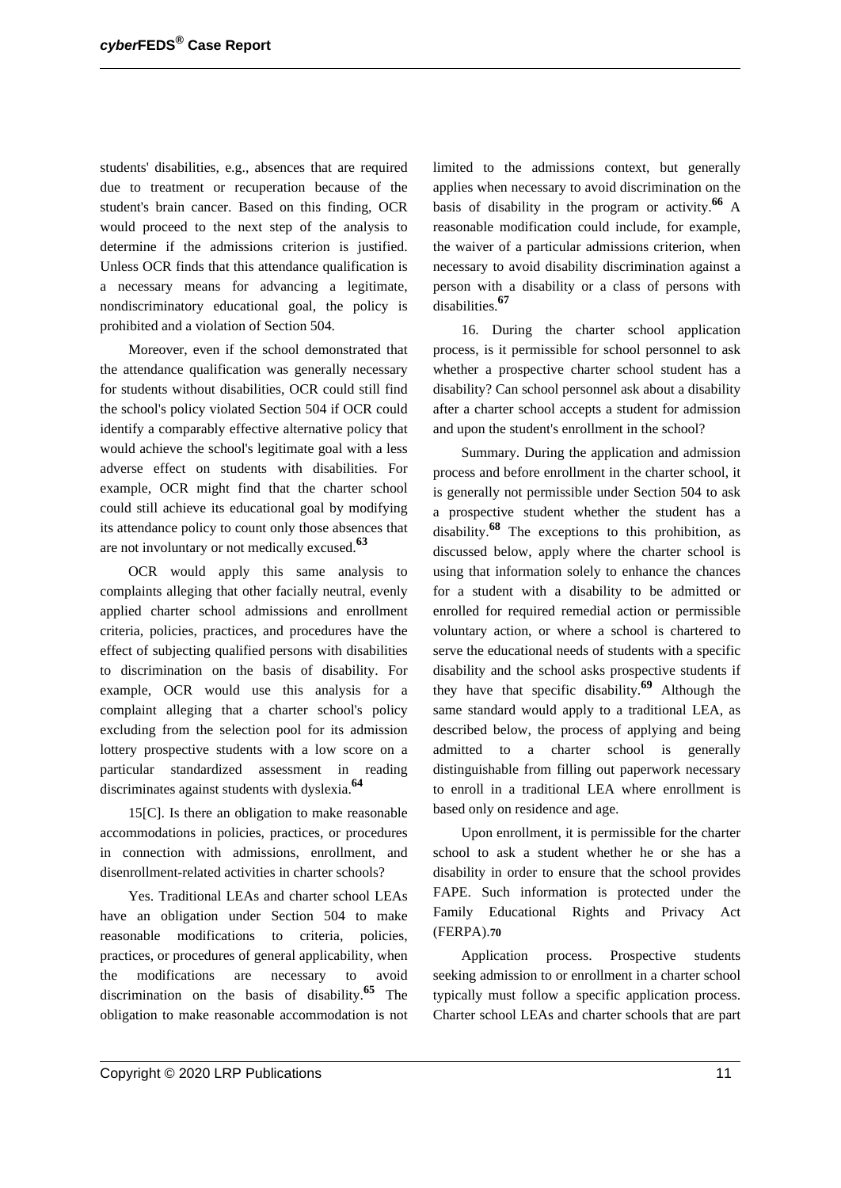students' disabilities, e.g., absences that are required due to treatment or recuperation because of the student's brain cancer. Based on this finding, OCR would proceed to the next step of the analysis to determine if the admissions criterion is justified. Unless OCR finds that this attendance qualification is a necessary means for advancing a legitimate, nondiscriminatory educational goal, the policy is prohibited and a violation of Section 504.

Moreover, even if the school demonstrated that the attendance qualification was generally necessary for students without disabilities, OCR could still find the school's policy violated Section 504 if OCR could identify a comparably effective alternative policy that would achieve the school's legitimate goal with a less adverse effect on students with disabilities. For example, OCR might find that the charter school could still achieve its educational goal by modifying its attendance policy to count only those absences that are not involuntary or not medically excused.**<sup>63</sup>**

OCR would apply this same analysis to complaints alleging that other facially neutral, evenly applied charter school admissions and enrollment criteria, policies, practices, and procedures have the effect of subjecting qualified persons with disabilities to discrimination on the basis of disability. For example, OCR would use this analysis for a complaint alleging that a charter school's policy excluding from the selection pool for its admission lottery prospective students with a low score on a particular standardized assessment in reading discriminates against students with dyslexia.**<sup>64</sup>**

15[C]. Is there an obligation to make reasonable accommodations in policies, practices, or procedures in connection with admissions, enrollment, and disenrollment-related activities in charter schools?

Yes. Traditional LEAs and charter school LEAs have an obligation under Section 504 to make reasonable modifications to criteria, policies, practices, or procedures of general applicability, when the modifications are necessary to avoid discrimination on the basis of disability.**<sup>65</sup>** The obligation to make reasonable accommodation is not limited to the admissions context, but generally applies when necessary to avoid discrimination on the basis of disability in the program or activity.**<sup>66</sup>** A reasonable modification could include, for example, the waiver of a particular admissions criterion, when necessary to avoid disability discrimination against a person with a disability or a class of persons with disabilities.**<sup>67</sup>**

16. During the charter school application process, is it permissible for school personnel to ask whether a prospective charter school student has a disability? Can school personnel ask about a disability after a charter school accepts a student for admission and upon the student's enrollment in the school?

Summary. During the application and admission process and before enrollment in the charter school, it is generally not permissible under Section 504 to ask a prospective student whether the student has a disability.**<sup>68</sup>** The exceptions to this prohibition, as discussed below, apply where the charter school is using that information solely to enhance the chances for a student with a disability to be admitted or enrolled for required remedial action or permissible voluntary action, or where a school is chartered to serve the educational needs of students with a specific disability and the school asks prospective students if they have that specific disability.**<sup>69</sup>** Although the same standard would apply to a traditional LEA, as described below, the process of applying and being admitted to a charter school is generally distinguishable from filling out paperwork necessary to enroll in a traditional LEA where enrollment is based only on residence and age.

Upon enrollment, it is permissible for the charter school to ask a student whether he or she has a disability in order to ensure that the school provides FAPE. Such information is protected under the Family Educational Rights and Privacy Act (FERPA).**70**

Application process. Prospective students seeking admission to or enrollment in a charter school typically must follow a specific application process. Charter school LEAs and charter schools that are part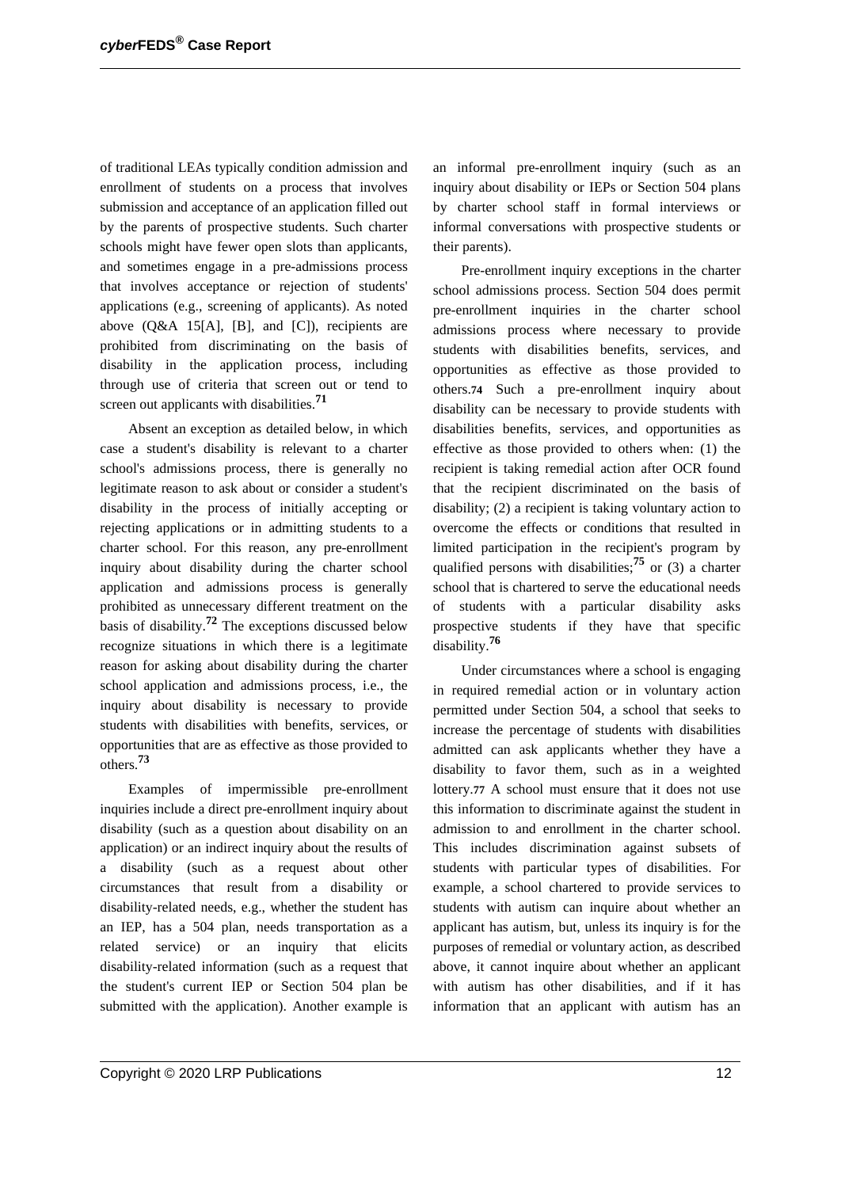of traditional LEAs typically condition admission and enrollment of students on a process that involves submission and acceptance of an application filled out by the parents of prospective students. Such charter schools might have fewer open slots than applicants, and sometimes engage in a pre-admissions process that involves acceptance or rejection of students' applications (e.g., screening of applicants). As noted above (Q&A 15[A], [B], and [C]), recipients are prohibited from discriminating on the basis of disability in the application process, including through use of criteria that screen out or tend to screen out applicants with disabilities.**<sup>71</sup>**

Absent an exception as detailed below, in which case a student's disability is relevant to a charter school's admissions process, there is generally no legitimate reason to ask about or consider a student's disability in the process of initially accepting or rejecting applications or in admitting students to a charter school. For this reason, any pre-enrollment inquiry about disability during the charter school application and admissions process is generally prohibited as unnecessary different treatment on the basis of disability.**<sup>72</sup>** The exceptions discussed below recognize situations in which there is a legitimate reason for asking about disability during the charter school application and admissions process, i.e., the inquiry about disability is necessary to provide students with disabilities with benefits, services, or opportunities that are as effective as those provided to others.**<sup>73</sup>**

Examples of impermissible pre-enrollment inquiries include a direct pre-enrollment inquiry about disability (such as a question about disability on an application) or an indirect inquiry about the results of a disability (such as a request about other circumstances that result from a disability or disability-related needs, e.g., whether the student has an IEP, has a 504 plan, needs transportation as a related service) or an inquiry that elicits disability-related information (such as a request that the student's current IEP or Section 504 plan be submitted with the application). Another example is an informal pre-enrollment inquiry (such as an inquiry about disability or IEPs or Section 504 plans by charter school staff in formal interviews or informal conversations with prospective students or their parents).

Pre-enrollment inquiry exceptions in the charter school admissions process. Section 504 does permit pre-enrollment inquiries in the charter school admissions process where necessary to provide students with disabilities benefits, services, and opportunities as effective as those provided to others.**74** Such a pre-enrollment inquiry about disability can be necessary to provide students with disabilities benefits, services, and opportunities as effective as those provided to others when: (1) the recipient is taking remedial action after OCR found that the recipient discriminated on the basis of disability; (2) a recipient is taking voluntary action to overcome the effects or conditions that resulted in limited participation in the recipient's program by qualified persons with disabilities;**<sup>75</sup>** or (3) a charter school that is chartered to serve the educational needs of students with a particular disability asks prospective students if they have that specific disability.**<sup>76</sup>**

Under circumstances where a school is engaging in required remedial action or in voluntary action permitted under Section 504, a school that seeks to increase the percentage of students with disabilities admitted can ask applicants whether they have a disability to favor them, such as in a weighted lottery.**77** A school must ensure that it does not use this information to discriminate against the student in admission to and enrollment in the charter school. This includes discrimination against subsets of students with particular types of disabilities. For example, a school chartered to provide services to students with autism can inquire about whether an applicant has autism, but, unless its inquiry is for the purposes of remedial or voluntary action, as described above, it cannot inquire about whether an applicant with autism has other disabilities, and if it has information that an applicant with autism has an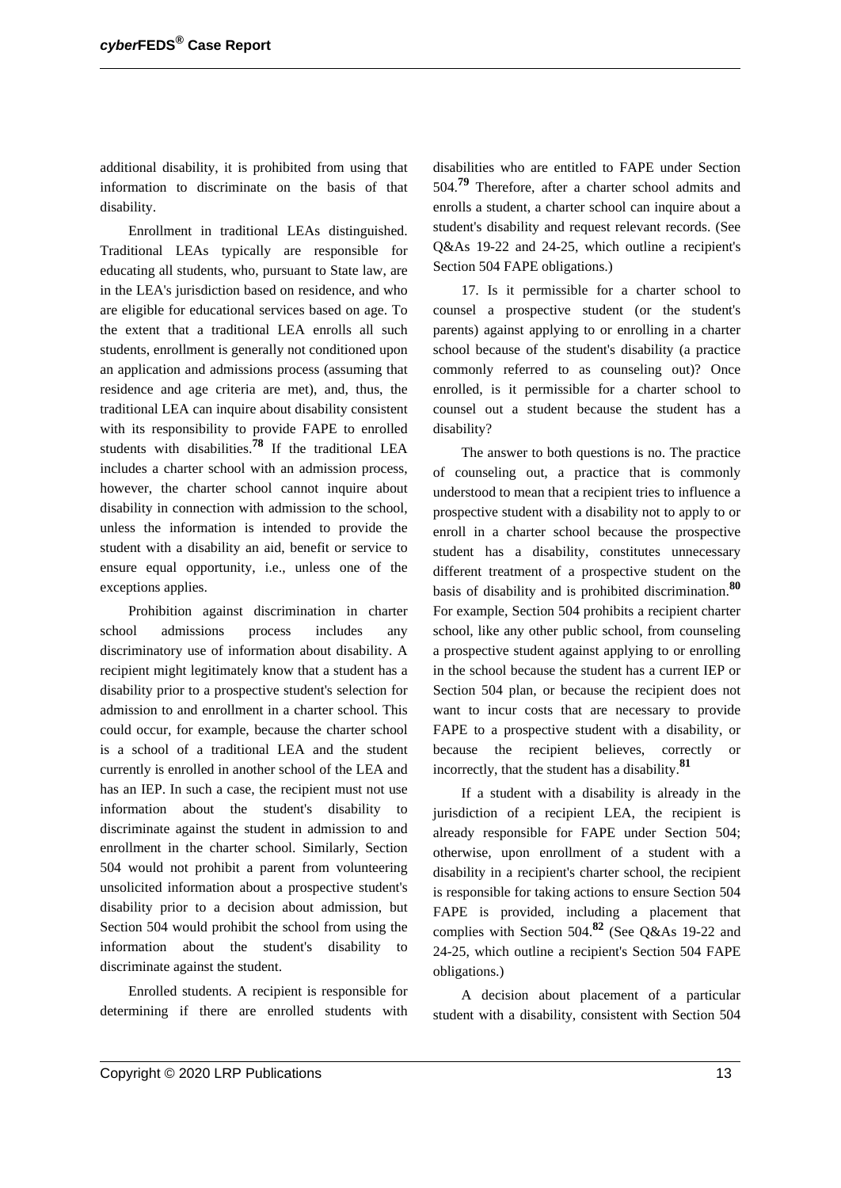additional disability, it is prohibited from using that information to discriminate on the basis of that disability.

Enrollment in traditional LEAs distinguished. Traditional LEAs typically are responsible for educating all students, who, pursuant to State law, are in the LEA's jurisdiction based on residence, and who are eligible for educational services based on age. To the extent that a traditional LEA enrolls all such students, enrollment is generally not conditioned upon an application and admissions process (assuming that residence and age criteria are met), and, thus, the traditional LEA can inquire about disability consistent with its responsibility to provide FAPE to enrolled students with disabilities.**<sup>78</sup>** If the traditional LEA includes a charter school with an admission process, however, the charter school cannot inquire about disability in connection with admission to the school, unless the information is intended to provide the student with a disability an aid, benefit or service to ensure equal opportunity, i.e., unless one of the exceptions applies.

Prohibition against discrimination in charter school admissions process includes any discriminatory use of information about disability. A recipient might legitimately know that a student has a disability prior to a prospective student's selection for admission to and enrollment in a charter school. This could occur, for example, because the charter school is a school of a traditional LEA and the student currently is enrolled in another school of the LEA and has an IEP. In such a case, the recipient must not use information about the student's disability to discriminate against the student in admission to and enrollment in the charter school. Similarly, Section 504 would not prohibit a parent from volunteering unsolicited information about a prospective student's disability prior to a decision about admission, but Section 504 would prohibit the school from using the information about the student's disability to discriminate against the student.

Enrolled students. A recipient is responsible for determining if there are enrolled students with disabilities who are entitled to FAPE under Section 504.**<sup>79</sup>** Therefore, after a charter school admits and enrolls a student, a charter school can inquire about a student's disability and request relevant records. (See Q&As 19-22 and 24-25, which outline a recipient's Section 504 FAPE obligations.)

17. Is it permissible for a charter school to counsel a prospective student (or the student's parents) against applying to or enrolling in a charter school because of the student's disability (a practice commonly referred to as counseling out)? Once enrolled, is it permissible for a charter school to counsel out a student because the student has a disability?

The answer to both questions is no. The practice of counseling out, a practice that is commonly understood to mean that a recipient tries to influence a prospective student with a disability not to apply to or enroll in a charter school because the prospective student has a disability, constitutes unnecessary different treatment of a prospective student on the basis of disability and is prohibited discrimination.**<sup>80</sup>** For example, Section 504 prohibits a recipient charter school, like any other public school, from counseling a prospective student against applying to or enrolling in the school because the student has a current IEP or Section 504 plan, or because the recipient does not want to incur costs that are necessary to provide FAPE to a prospective student with a disability, or because the recipient believes, correctly or incorrectly, that the student has a disability.**<sup>81</sup>**

If a student with a disability is already in the jurisdiction of a recipient LEA, the recipient is already responsible for FAPE under Section 504; otherwise, upon enrollment of a student with a disability in a recipient's charter school, the recipient is responsible for taking actions to ensure Section 504 FAPE is provided, including a placement that complies with Section 504.**<sup>82</sup>** (See Q&As 19-22 and 24-25, which outline a recipient's Section 504 FAPE obligations.)

A decision about placement of a particular student with a disability, consistent with Section 504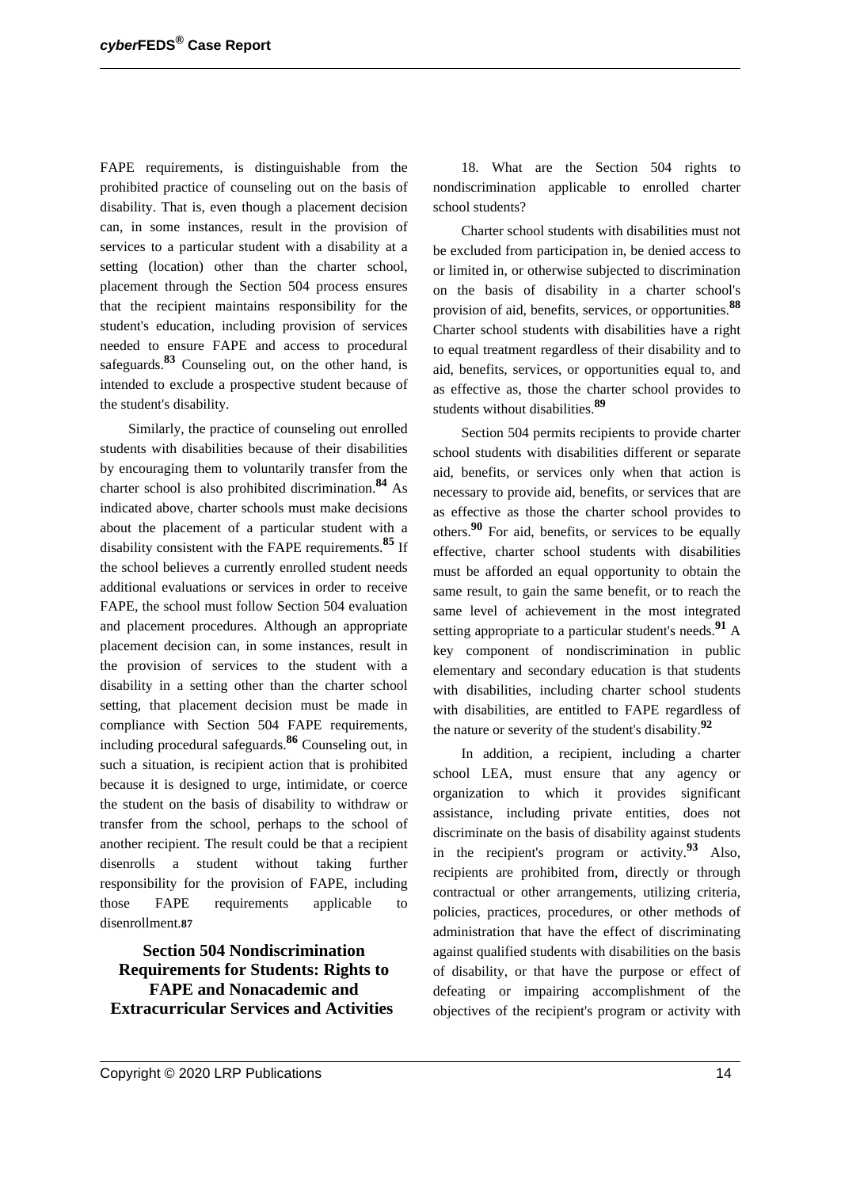FAPE requirements, is distinguishable from the prohibited practice of counseling out on the basis of disability. That is, even though a placement decision can, in some instances, result in the provision of services to a particular student with a disability at a setting (location) other than the charter school, placement through the Section 504 process ensures that the recipient maintains responsibility for the student's education, including provision of services needed to ensure FAPE and access to procedural safeguards.**<sup>83</sup>** Counseling out, on the other hand, is intended to exclude a prospective student because of the student's disability.

Similarly, the practice of counseling out enrolled students with disabilities because of their disabilities by encouraging them to voluntarily transfer from the charter school is also prohibited discrimination.**<sup>84</sup>** As indicated above, charter schools must make decisions about the placement of a particular student with a disability consistent with the FAPE requirements.**<sup>85</sup>** If the school believes a currently enrolled student needs additional evaluations or services in order to receive FAPE, the school must follow Section 504 evaluation and placement procedures. Although an appropriate placement decision can, in some instances, result in the provision of services to the student with a disability in a setting other than the charter school setting, that placement decision must be made in compliance with Section 504 FAPE requirements, including procedural safeguards.**<sup>86</sup>** Counseling out, in such a situation, is recipient action that is prohibited because it is designed to urge, intimidate, or coerce the student on the basis of disability to withdraw or transfer from the school, perhaps to the school of another recipient. The result could be that a recipient disenrolls a student without taking further responsibility for the provision of FAPE, including those FAPE requirements applicable to disenrollment.**87**

**Section 504 Nondiscrimination Requirements for Students: Rights to FAPE and Nonacademic and Extracurricular Services and Activities**

18. What are the Section 504 rights to nondiscrimination applicable to enrolled charter school students?

Charter school students with disabilities must not be excluded from participation in, be denied access to or limited in, or otherwise subjected to discrimination on the basis of disability in a charter school's provision of aid, benefits, services, or opportunities.**<sup>88</sup>** Charter school students with disabilities have a right to equal treatment regardless of their disability and to aid, benefits, services, or opportunities equal to, and as effective as, those the charter school provides to students without disabilities.**<sup>89</sup>**

Section 504 permits recipients to provide charter school students with disabilities different or separate aid, benefits, or services only when that action is necessary to provide aid, benefits, or services that are as effective as those the charter school provides to others.**<sup>90</sup>** For aid, benefits, or services to be equally effective, charter school students with disabilities must be afforded an equal opportunity to obtain the same result, to gain the same benefit, or to reach the same level of achievement in the most integrated setting appropriate to a particular student's needs.**<sup>91</sup>** A key component of nondiscrimination in public elementary and secondary education is that students with disabilities, including charter school students with disabilities, are entitled to FAPE regardless of the nature or severity of the student's disability.**<sup>92</sup>**

In addition, a recipient, including a charter school LEA, must ensure that any agency or organization to which it provides significant assistance, including private entities, does not discriminate on the basis of disability against students in the recipient's program or activity.**<sup>93</sup>** Also, recipients are prohibited from, directly or through contractual or other arrangements, utilizing criteria, policies, practices, procedures, or other methods of administration that have the effect of discriminating against qualified students with disabilities on the basis of disability, or that have the purpose or effect of defeating or impairing accomplishment of the objectives of the recipient's program or activity with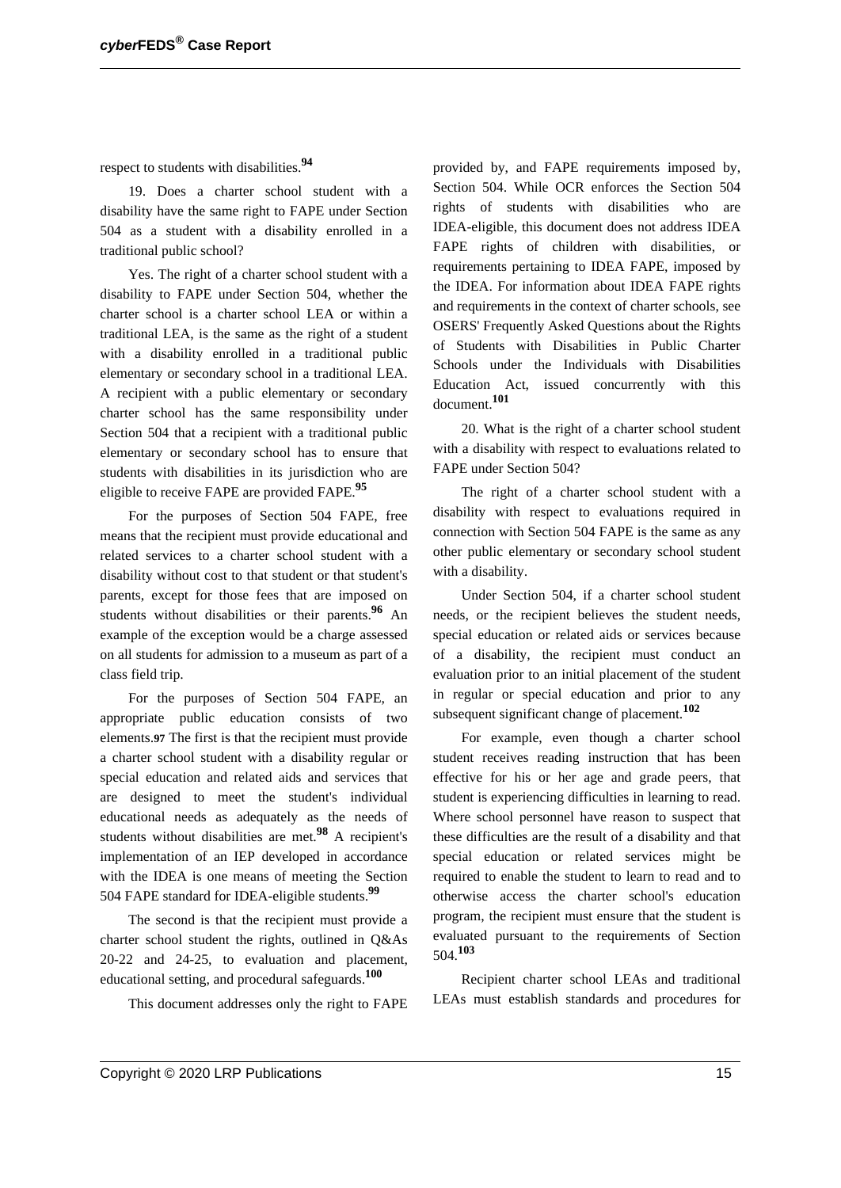respect to students with disabilities.**<sup>94</sup>**

19. Does a charter school student with a disability have the same right to FAPE under Section 504 as a student with a disability enrolled in a traditional public school?

Yes. The right of a charter school student with a disability to FAPE under Section 504, whether the charter school is a charter school LEA or within a traditional LEA, is the same as the right of a student with a disability enrolled in a traditional public elementary or secondary school in a traditional LEA. A recipient with a public elementary or secondary charter school has the same responsibility under Section 504 that a recipient with a traditional public elementary or secondary school has to ensure that students with disabilities in its jurisdiction who are eligible to receive FAPE are provided FAPE.**<sup>95</sup>**

For the purposes of Section 504 FAPE, free means that the recipient must provide educational and related services to a charter school student with a disability without cost to that student or that student's parents, except for those fees that are imposed on students without disabilities or their parents.**<sup>96</sup>** An example of the exception would be a charge assessed on all students for admission to a museum as part of a class field trip.

For the purposes of Section 504 FAPE, an appropriate public education consists of two elements.**97** The first is that the recipient must provide a charter school student with a disability regular or special education and related aids and services that are designed to meet the student's individual educational needs as adequately as the needs of students without disabilities are met.**<sup>98</sup>** A recipient's implementation of an IEP developed in accordance with the IDEA is one means of meeting the Section 504 FAPE standard for IDEA-eligible students.**<sup>99</sup>**

The second is that the recipient must provide a charter school student the rights, outlined in Q&As 20-22 and 24-25, to evaluation and placement, educational setting, and procedural safeguards.**<sup>100</sup>**

This document addresses only the right to FAPE

provided by, and FAPE requirements imposed by, Section 504. While OCR enforces the Section 504 rights of students with disabilities who are IDEA-eligible, this document does not address IDEA FAPE rights of children with disabilities, or requirements pertaining to IDEA FAPE, imposed by the IDEA. For information about IDEA FAPE rights and requirements in the context of charter schools, see OSERS' Frequently Asked Questions about the Rights of Students with Disabilities in Public Charter Schools under the Individuals with Disabilities Education Act, issued concurrently with this document.**<sup>101</sup>**

20. What is the right of a charter school student with a disability with respect to evaluations related to FAPE under Section 504?

The right of a charter school student with a disability with respect to evaluations required in connection with Section 504 FAPE is the same as any other public elementary or secondary school student with a disability.

Under Section 504, if a charter school student needs, or the recipient believes the student needs, special education or related aids or services because of a disability, the recipient must conduct an evaluation prior to an initial placement of the student in regular or special education and prior to any subsequent significant change of placement.**<sup>102</sup>**

For example, even though a charter school student receives reading instruction that has been effective for his or her age and grade peers, that student is experiencing difficulties in learning to read. Where school personnel have reason to suspect that these difficulties are the result of a disability and that special education or related services might be required to enable the student to learn to read and to otherwise access the charter school's education program, the recipient must ensure that the student is evaluated pursuant to the requirements of Section 504.**<sup>103</sup>**

Recipient charter school LEAs and traditional LEAs must establish standards and procedures for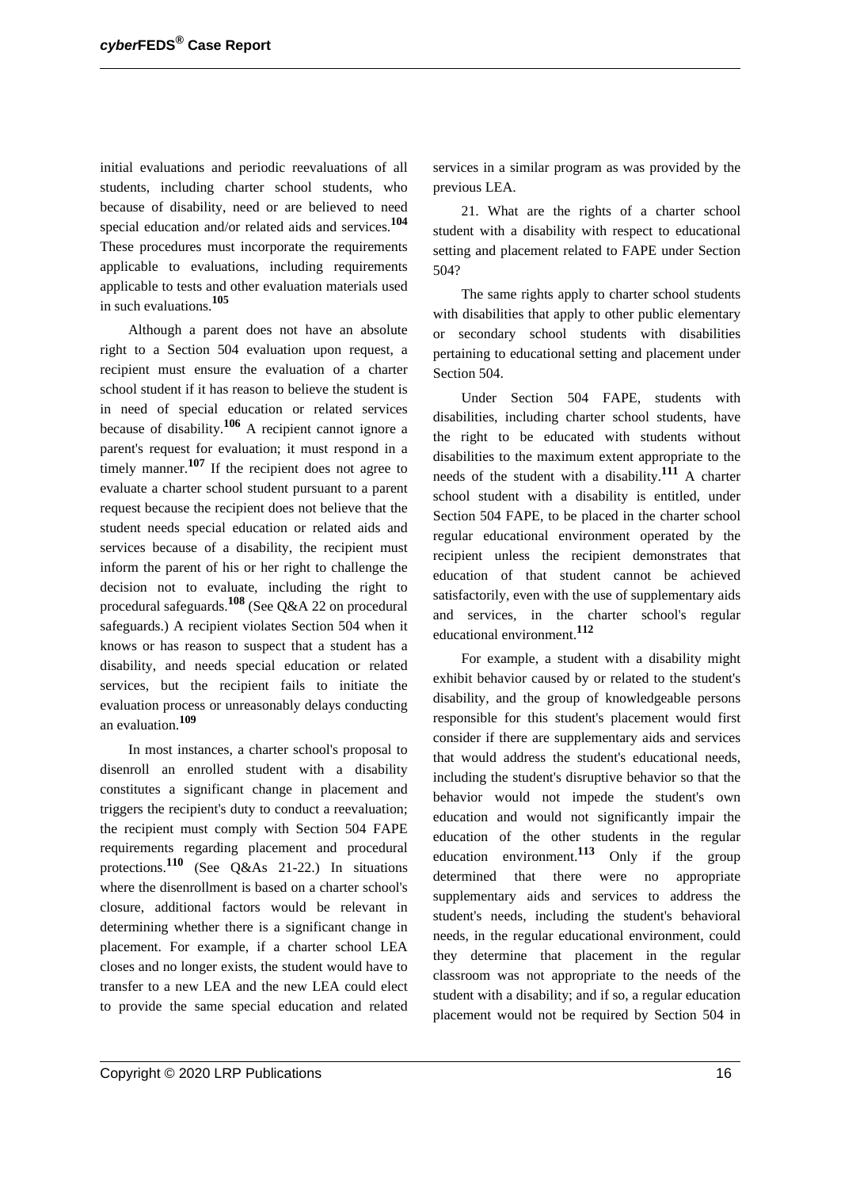initial evaluations and periodic reevaluations of all students, including charter school students, who because of disability, need or are believed to need special education and/or related aids and services.**<sup>104</sup>** These procedures must incorporate the requirements applicable to evaluations, including requirements applicable to tests and other evaluation materials used in such evaluations.**<sup>105</sup>**

Although a parent does not have an absolute right to a Section 504 evaluation upon request, a recipient must ensure the evaluation of a charter school student if it has reason to believe the student is in need of special education or related services because of disability.**<sup>106</sup>** A recipient cannot ignore a parent's request for evaluation; it must respond in a timely manner.**<sup>107</sup>** If the recipient does not agree to evaluate a charter school student pursuant to a parent request because the recipient does not believe that the student needs special education or related aids and services because of a disability, the recipient must inform the parent of his or her right to challenge the decision not to evaluate, including the right to procedural safeguards.**<sup>108</sup>** (See Q&A 22 on procedural safeguards.) A recipient violates Section 504 when it knows or has reason to suspect that a student has a disability, and needs special education or related services, but the recipient fails to initiate the evaluation process or unreasonably delays conducting an evaluation.**<sup>109</sup>**

In most instances, a charter school's proposal to disenroll an enrolled student with a disability constitutes a significant change in placement and triggers the recipient's duty to conduct a reevaluation; the recipient must comply with Section 504 FAPE requirements regarding placement and procedural protections.**<sup>110</sup>** (See Q&As 21-22.) In situations where the disenrollment is based on a charter school's closure, additional factors would be relevant in determining whether there is a significant change in placement. For example, if a charter school LEA closes and no longer exists, the student would have to transfer to a new LEA and the new LEA could elect to provide the same special education and related services in a similar program as was provided by the previous LEA.

21. What are the rights of a charter school student with a disability with respect to educational setting and placement related to FAPE under Section 504?

The same rights apply to charter school students with disabilities that apply to other public elementary or secondary school students with disabilities pertaining to educational setting and placement under Section 504.

Under Section 504 FAPE, students with disabilities, including charter school students, have the right to be educated with students without disabilities to the maximum extent appropriate to the needs of the student with a disability.**<sup>111</sup>** A charter school student with a disability is entitled, under Section 504 FAPE, to be placed in the charter school regular educational environment operated by the recipient unless the recipient demonstrates that education of that student cannot be achieved satisfactorily, even with the use of supplementary aids and services, in the charter school's regular educational environment.**<sup>112</sup>**

For example, a student with a disability might exhibit behavior caused by or related to the student's disability, and the group of knowledgeable persons responsible for this student's placement would first consider if there are supplementary aids and services that would address the student's educational needs, including the student's disruptive behavior so that the behavior would not impede the student's own education and would not significantly impair the education of the other students in the regular education environment.**<sup>113</sup>** Only if the group determined that there were no appropriate supplementary aids and services to address the student's needs, including the student's behavioral needs, in the regular educational environment, could they determine that placement in the regular classroom was not appropriate to the needs of the student with a disability; and if so, a regular education placement would not be required by Section 504 in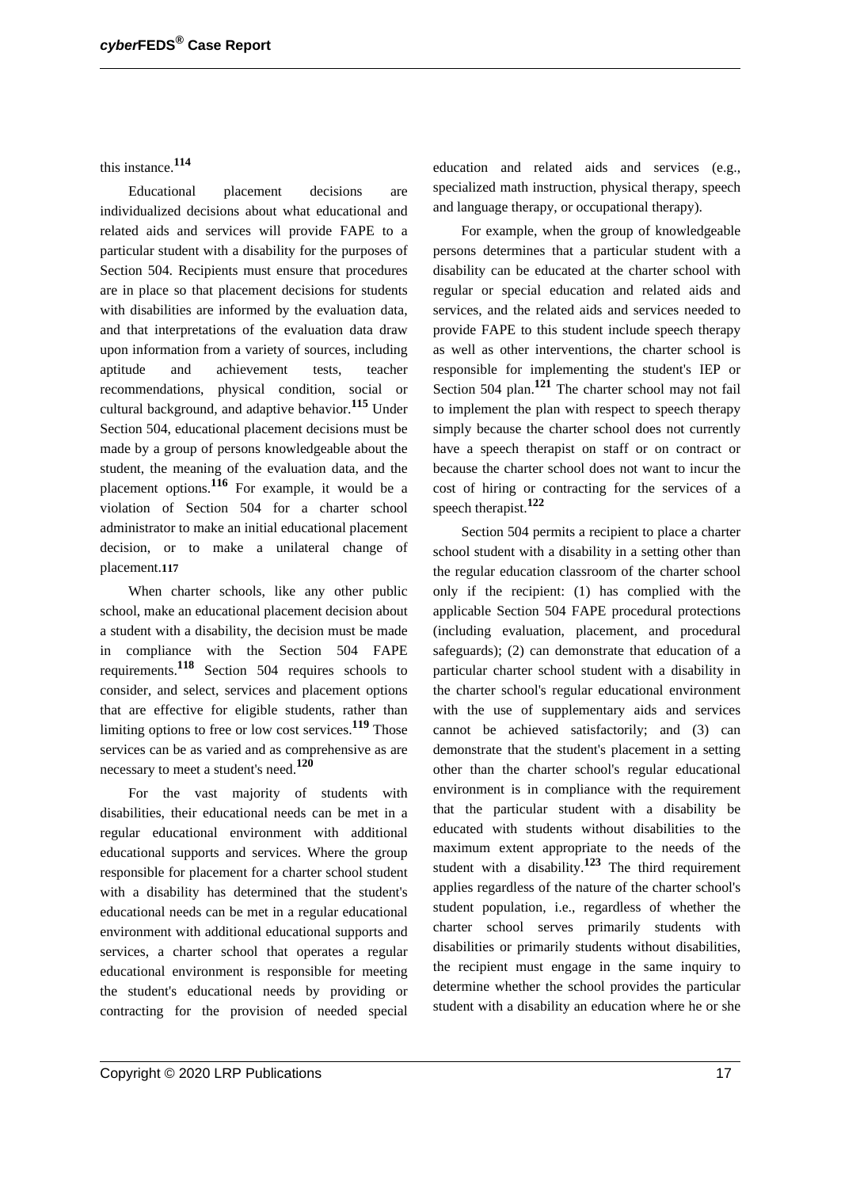this instance.**<sup>114</sup>**

Educational placement decisions are individualized decisions about what educational and related aids and services will provide FAPE to a particular student with a disability for the purposes of Section 504. Recipients must ensure that procedures are in place so that placement decisions for students with disabilities are informed by the evaluation data, and that interpretations of the evaluation data draw upon information from a variety of sources, including aptitude and achievement tests, teacher recommendations, physical condition, social or cultural background, and adaptive behavior.**<sup>115</sup>** Under Section 504, educational placement decisions must be made by a group of persons knowledgeable about the student, the meaning of the evaluation data, and the placement options.**<sup>116</sup>** For example, it would be a violation of Section 504 for a charter school administrator to make an initial educational placement decision, or to make a unilateral change of placement.**117**

When charter schools, like any other public school, make an educational placement decision about a student with a disability, the decision must be made in compliance with the Section 504 FAPE requirements.**<sup>118</sup>** Section 504 requires schools to consider, and select, services and placement options that are effective for eligible students, rather than limiting options to free or low cost services.**<sup>119</sup>** Those services can be as varied and as comprehensive as are necessary to meet a student's need.**<sup>120</sup>**

For the vast majority of students with disabilities, their educational needs can be met in a regular educational environment with additional educational supports and services. Where the group responsible for placement for a charter school student with a disability has determined that the student's educational needs can be met in a regular educational environment with additional educational supports and services, a charter school that operates a regular educational environment is responsible for meeting the student's educational needs by providing or contracting for the provision of needed special education and related aids and services (e.g., specialized math instruction, physical therapy, speech and language therapy, or occupational therapy).

For example, when the group of knowledgeable persons determines that a particular student with a disability can be educated at the charter school with regular or special education and related aids and services, and the related aids and services needed to provide FAPE to this student include speech therapy as well as other interventions, the charter school is responsible for implementing the student's IEP or Section 504 plan.**<sup>121</sup>** The charter school may not fail to implement the plan with respect to speech therapy simply because the charter school does not currently have a speech therapist on staff or on contract or because the charter school does not want to incur the cost of hiring or contracting for the services of a speech therapist.**<sup>122</sup>**

Section 504 permits a recipient to place a charter school student with a disability in a setting other than the regular education classroom of the charter school only if the recipient: (1) has complied with the applicable Section 504 FAPE procedural protections (including evaluation, placement, and procedural safeguards); (2) can demonstrate that education of a particular charter school student with a disability in the charter school's regular educational environment with the use of supplementary aids and services cannot be achieved satisfactorily; and (3) can demonstrate that the student's placement in a setting other than the charter school's regular educational environment is in compliance with the requirement that the particular student with a disability be educated with students without disabilities to the maximum extent appropriate to the needs of the student with a disability.**<sup>123</sup>** The third requirement applies regardless of the nature of the charter school's student population, i.e., regardless of whether the charter school serves primarily students with disabilities or primarily students without disabilities, the recipient must engage in the same inquiry to determine whether the school provides the particular student with a disability an education where he or she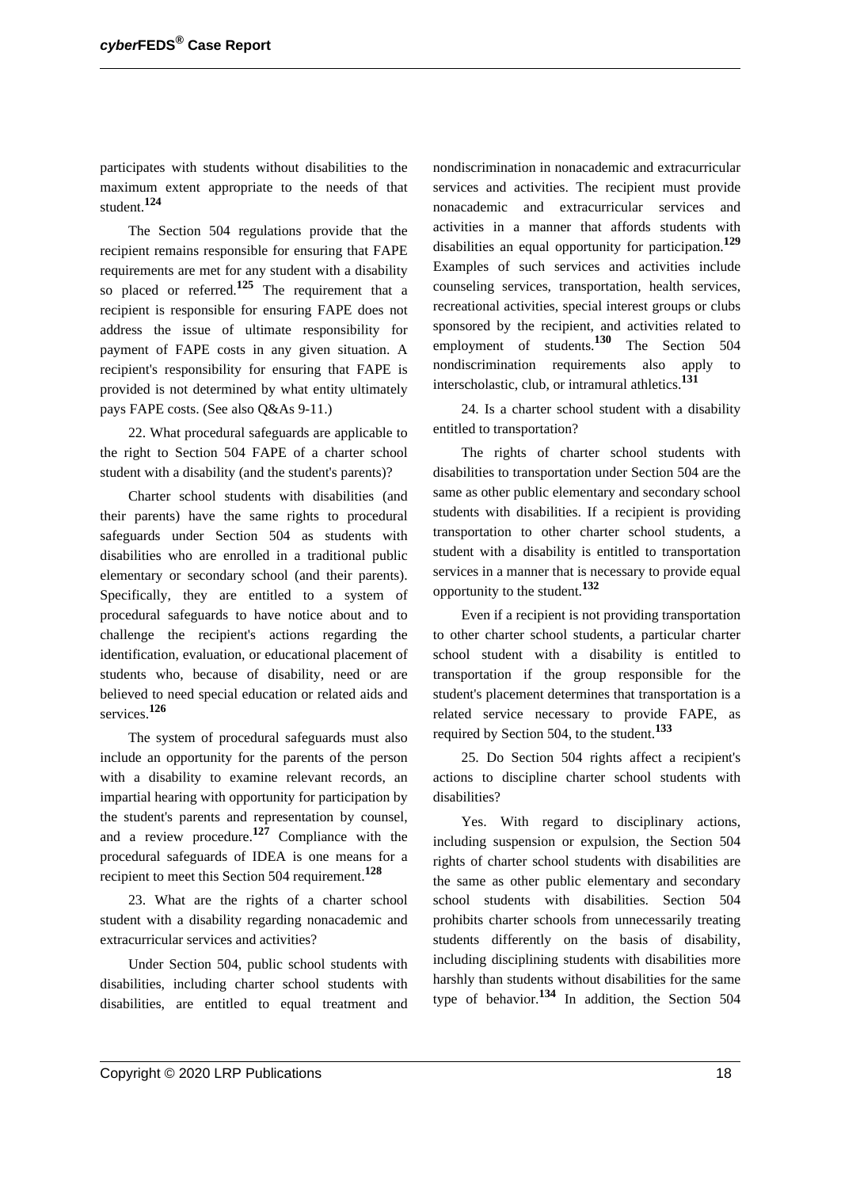participates with students without disabilities to the maximum extent appropriate to the needs of that student.**<sup>124</sup>**

The Section 504 regulations provide that the recipient remains responsible for ensuring that FAPE requirements are met for any student with a disability so placed or referred.**<sup>125</sup>** The requirement that a recipient is responsible for ensuring FAPE does not address the issue of ultimate responsibility for payment of FAPE costs in any given situation. A recipient's responsibility for ensuring that FAPE is provided is not determined by what entity ultimately pays FAPE costs. (See also Q&As 9-11.)

22. What procedural safeguards are applicable to the right to Section 504 FAPE of a charter school student with a disability (and the student's parents)?

Charter school students with disabilities (and their parents) have the same rights to procedural safeguards under Section 504 as students with disabilities who are enrolled in a traditional public elementary or secondary school (and their parents). Specifically, they are entitled to a system of procedural safeguards to have notice about and to challenge the recipient's actions regarding the identification, evaluation, or educational placement of students who, because of disability, need or are believed to need special education or related aids and services.**<sup>126</sup>**

The system of procedural safeguards must also include an opportunity for the parents of the person with a disability to examine relevant records, an impartial hearing with opportunity for participation by the student's parents and representation by counsel, and a review procedure.**<sup>127</sup>** Compliance with the procedural safeguards of IDEA is one means for a recipient to meet this Section 504 requirement.**<sup>128</sup>**

23. What are the rights of a charter school student with a disability regarding nonacademic and extracurricular services and activities?

Under Section 504, public school students with disabilities, including charter school students with disabilities, are entitled to equal treatment and nondiscrimination in nonacademic and extracurricular services and activities. The recipient must provide nonacademic and extracurricular services and activities in a manner that affords students with disabilities an equal opportunity for participation.**<sup>129</sup>** Examples of such services and activities include counseling services, transportation, health services, recreational activities, special interest groups or clubs sponsored by the recipient, and activities related to employment of students.**<sup>130</sup>** The Section 504 nondiscrimination requirements also apply to interscholastic, club, or intramural athletics.**<sup>131</sup>**

24. Is a charter school student with a disability entitled to transportation?

The rights of charter school students with disabilities to transportation under Section 504 are the same as other public elementary and secondary school students with disabilities. If a recipient is providing transportation to other charter school students, a student with a disability is entitled to transportation services in a manner that is necessary to provide equal opportunity to the student.**<sup>132</sup>**

Even if a recipient is not providing transportation to other charter school students, a particular charter school student with a disability is entitled to transportation if the group responsible for the student's placement determines that transportation is a related service necessary to provide FAPE, as required by Section 504, to the student.**<sup>133</sup>**

25. Do Section 504 rights affect a recipient's actions to discipline charter school students with disabilities?

Yes. With regard to disciplinary actions, including suspension or expulsion, the Section 504 rights of charter school students with disabilities are the same as other public elementary and secondary school students with disabilities. Section 504 prohibits charter schools from unnecessarily treating students differently on the basis of disability, including disciplining students with disabilities more harshly than students without disabilities for the same type of behavior.**<sup>134</sup>** In addition, the Section 504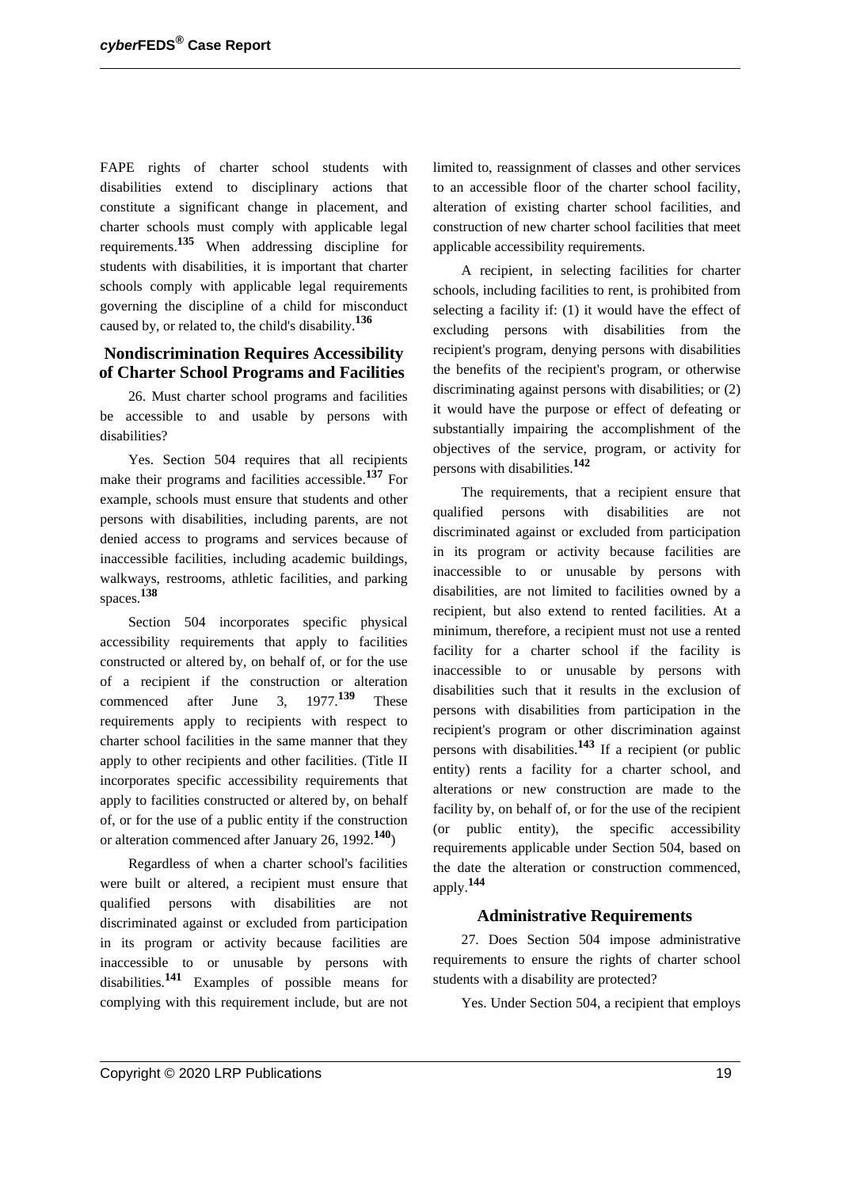FAPE rights of charter school students with disabilities extend to disciplinary actions that constitute a significant change in placement, and charter schools must comply with applicable legal requirements.**<sup>135</sup>** When addressing discipline for students with disabilities, it is important that charter schools comply with applicable legal requirements governing the discipline of a child for misconduct caused by, or related to, the child's disability.**<sup>136</sup>**

### **Nondiscrimination Requires Accessibility of Charter School Programs and Facilities**

26. Must charter school programs and facilities be accessible to and usable by persons with disabilities?

Yes. Section 504 requires that all recipients make their programs and facilities accessible.**<sup>137</sup>** For example, schools must ensure that students and other persons with disabilities, including parents, are not denied access to programs and services because of inaccessible facilities, including academic buildings, walkways, restrooms, athletic facilities, and parking spaces.**<sup>138</sup>**

Section 504 incorporates specific physical accessibility requirements that apply to facilities constructed or altered by, on behalf of, or for the use of a recipient if the construction or alteration commenced after June 3, 1977.**<sup>139</sup>** These requirements apply to recipients with respect to charter school facilities in the same manner that they apply to other recipients and other facilities. (Title II incorporates specific accessibility requirements that apply to facilities constructed or altered by, on behalf of, or for the use of a public entity if the construction or alteration commenced after January 26, 1992.**140**)

Regardless of when a charter school's facilities were built or altered, a recipient must ensure that qualified persons with disabilities are not discriminated against or excluded from participation in its program or activity because facilities are inaccessible to or unusable by persons with disabilities.**<sup>141</sup>** Examples of possible means for complying with this requirement include, but are not limited to, reassignment of classes and other services to an accessible floor of the charter school facility, alteration of existing charter school facilities, and construction of new charter school facilities that meet applicable accessibility requirements.

A recipient, in selecting facilities for charter schools, including facilities to rent, is prohibited from selecting a facility if: (1) it would have the effect of excluding persons with disabilities from the recipient's program, denying persons with disabilities the benefits of the recipient's program, or otherwise discriminating against persons with disabilities; or (2) it would have the purpose or effect of defeating or substantially impairing the accomplishment of the objectives of the service, program, or activity for persons with disabilities.**<sup>142</sup>**

The requirements, that a recipient ensure that qualified persons with disabilities are not discriminated against or excluded from participation in its program or activity because facilities are inaccessible to or unusable by persons with disabilities, are not limited to facilities owned by a recipient, but also extend to rented facilities. At a minimum, therefore, a recipient must not use a rented facility for a charter school if the facility is inaccessible to or unusable by persons with disabilities such that it results in the exclusion of persons with disabilities from participation in the recipient's program or other discrimination against persons with disabilities.**<sup>143</sup>** If a recipient (or public entity) rents a facility for a charter school, and alterations or new construction are made to the facility by, on behalf of, or for the use of the recipient (or public entity), the specific accessibility requirements applicable under Section 504, based on the date the alteration or construction commenced, apply.**<sup>144</sup>**

## **Administrative Requirements**

27. Does Section 504 impose administrative requirements to ensure the rights of charter school students with a disability are protected?

Yes. Under Section 504, a recipient that employs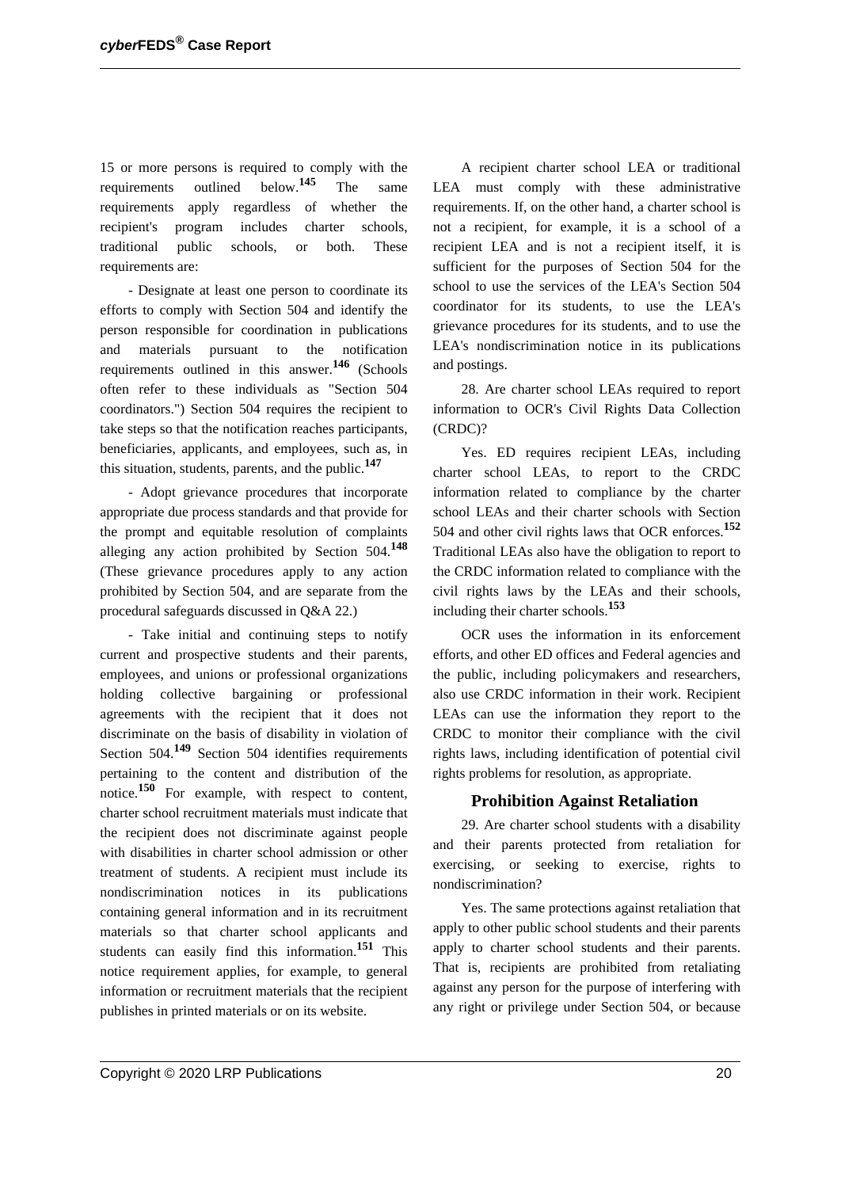15 or more persons is required to comply with the requirements outlined below.**<sup>145</sup>** The same requirements apply regardless of whether the recipient's program includes charter schools, traditional public schools, or both. These requirements are:

- Designate at least one person to coordinate its efforts to comply with Section 504 and identify the person responsible for coordination in publications and materials pursuant to the notification requirements outlined in this answer.**<sup>146</sup>** (Schools often refer to these individuals as "Section 504 coordinators.") Section 504 requires the recipient to take steps so that the notification reaches participants, beneficiaries, applicants, and employees, such as, in this situation, students, parents, and the public.**<sup>147</sup>**

- Adopt grievance procedures that incorporate appropriate due process standards and that provide for the prompt and equitable resolution of complaints alleging any action prohibited by Section 504.**<sup>148</sup>** (These grievance procedures apply to any action prohibited by Section 504, and are separate from the procedural safeguards discussed in Q&A 22.)

- Take initial and continuing steps to notify current and prospective students and their parents, employees, and unions or professional organizations holding collective bargaining or professional agreements with the recipient that it does not discriminate on the basis of disability in violation of Section 504.**<sup>149</sup>** Section 504 identifies requirements pertaining to the content and distribution of the notice.**<sup>150</sup>** For example, with respect to content, charter school recruitment materials must indicate that the recipient does not discriminate against people with disabilities in charter school admission or other treatment of students. A recipient must include its nondiscrimination notices in its publications containing general information and in its recruitment materials so that charter school applicants and students can easily find this information.**<sup>151</sup>** This notice requirement applies, for example, to general information or recruitment materials that the recipient publishes in printed materials or on its website.

A recipient charter school LEA or traditional LEA must comply with these administrative requirements. If, on the other hand, a charter school is not a recipient, for example, it is a school of a recipient LEA and is not a recipient itself, it is sufficient for the purposes of Section 504 for the school to use the services of the LEA's Section 504 coordinator for its students, to use the LEA's grievance procedures for its students, and to use the LEA's nondiscrimination notice in its publications and postings.

28. Are charter school LEAs required to report information to OCR's Civil Rights Data Collection (CRDC)?

Yes. ED requires recipient LEAs, including charter school LEAs, to report to the CRDC information related to compliance by the charter school LEAs and their charter schools with Section 504 and other civil rights laws that OCR enforces.**<sup>152</sup>** Traditional LEAs also have the obligation to report to the CRDC information related to compliance with the civil rights laws by the LEAs and their schools, including their charter schools.**<sup>153</sup>**

OCR uses the information in its enforcement efforts, and other ED offices and Federal agencies and the public, including policymakers and researchers, also use CRDC information in their work. Recipient LEAs can use the information they report to the CRDC to monitor their compliance with the civil rights laws, including identification of potential civil rights problems for resolution, as appropriate.

## **Prohibition Against Retaliation**

29. Are charter school students with a disability and their parents protected from retaliation for exercising, or seeking to exercise, rights to nondiscrimination?

Yes. The same protections against retaliation that apply to other public school students and their parents apply to charter school students and their parents. That is, recipients are prohibited from retaliating against any person for the purpose of interfering with any right or privilege under Section 504, or because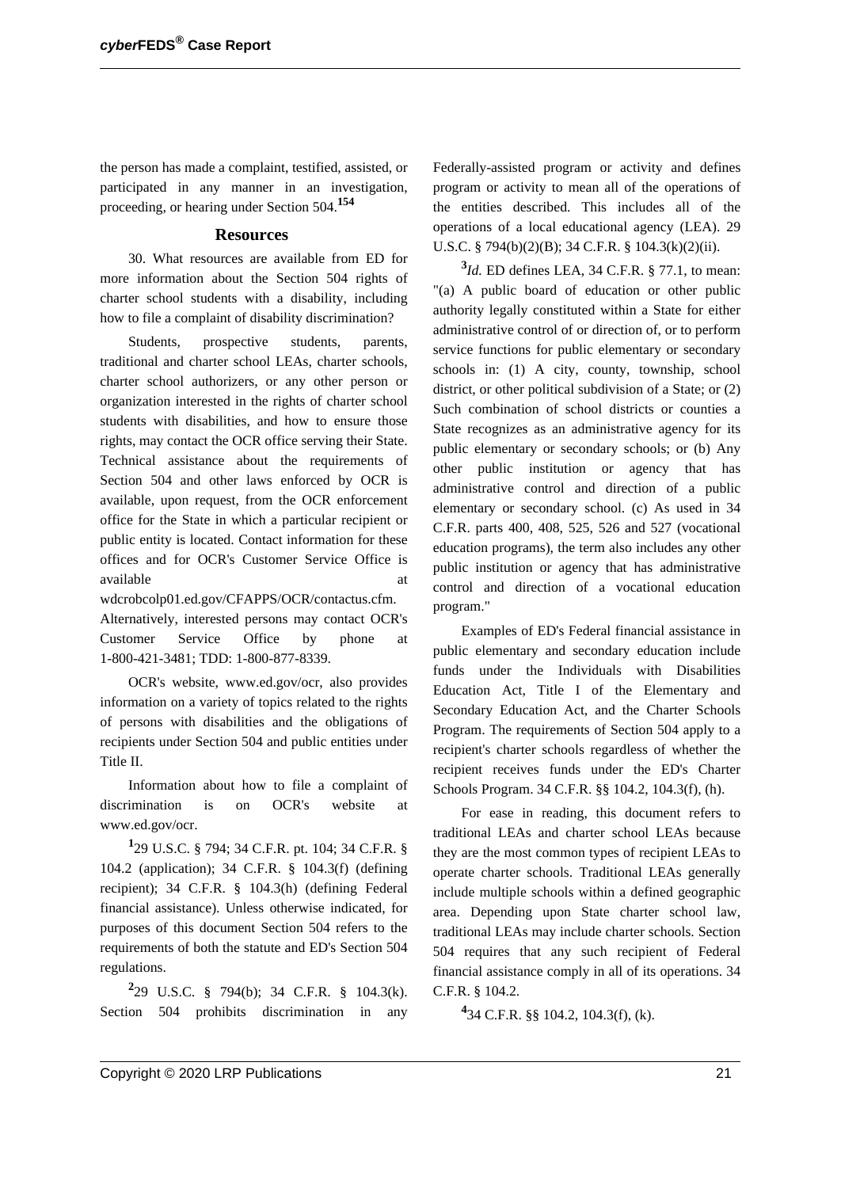the person has made a complaint, testified, assisted, or participated in any manner in an investigation, proceeding, or hearing under Section 504.**<sup>154</sup>**

#### **Resources**

30. What resources are available from ED for more information about the Section 504 rights of charter school students with a disability, including how to file a complaint of disability discrimination?

Students, prospective students, parents, traditional and charter school LEAs, charter schools, charter school authorizers, or any other person or organization interested in the rights of charter school students with disabilities, and how to ensure those rights, may contact the OCR office serving their State. Technical assistance about the requirements of Section 504 and other laws enforced by OCR is available, upon request, from the OCR enforcement office for the State in which a particular recipient or public entity is located. Contact information for these offices and for OCR's Customer Service Office is available at a state of  $\alpha$  at a state of  $\alpha$  at a state of  $\alpha$  at a state of  $\alpha$ 

wdcrobcolp01.ed.gov/CFAPPS/OCR/contactus.cfm.

Alternatively, interested persons may contact OCR's Customer Service Office by phone at 1-800-421-3481; TDD: 1-800-877-8339.

OCR's website, www.ed.gov/ocr, also provides information on a variety of topics related to the rights of persons with disabilities and the obligations of recipients under Section 504 and public entities under Title II.

Information about how to file a complaint of discrimination is on OCR's website at www.ed.gov/ocr.

**1** 29 U.S.C. § 794; 34 C.F.R. pt. 104; 34 C.F.R. § 104.2 (application); 34 C.F.R. § 104.3(f) (defining recipient); 34 C.F.R. § 104.3(h) (defining Federal financial assistance). Unless otherwise indicated, for purposes of this document Section 504 refers to the requirements of both the statute and ED's Section 504 regulations.

**2** 29 U.S.C. § 794(b); 34 C.F.R. § 104.3(k). Section 504 prohibits discrimination in any Federally-assisted program or activity and defines program or activity to mean all of the operations of the entities described. This includes all of the operations of a local educational agency (LEA). 29 U.S.C. § 794(b)(2)(B); 34 C.F.R. § 104.3(k)(2)(ii).

**3** *Id.* ED defines LEA, 34 C.F.R. § 77.1, to mean: "(a) A public board of education or other public authority legally constituted within a State for either administrative control of or direction of, or to perform service functions for public elementary or secondary schools in: (1) A city, county, township, school district, or other political subdivision of a State; or (2) Such combination of school districts or counties a State recognizes as an administrative agency for its public elementary or secondary schools; or (b) Any other public institution or agency that has administrative control and direction of a public elementary or secondary school. (c) As used in 34 C.F.R. parts 400, 408, 525, 526 and 527 (vocational education programs), the term also includes any other public institution or agency that has administrative control and direction of a vocational education program."

Examples of ED's Federal financial assistance in public elementary and secondary education include funds under the Individuals with Disabilities Education Act, Title I of the Elementary and Secondary Education Act, and the Charter Schools Program. The requirements of Section 504 apply to a recipient's charter schools regardless of whether the recipient receives funds under the ED's Charter Schools Program. 34 C.F.R. §§ 104.2, 104.3(f), (h).

For ease in reading, this document refers to traditional LEAs and charter school LEAs because they are the most common types of recipient LEAs to operate charter schools. Traditional LEAs generally include multiple schools within a defined geographic area. Depending upon State charter school law, traditional LEAs may include charter schools. Section 504 requires that any such recipient of Federal financial assistance comply in all of its operations. 34 C.F.R. § 104.2.

**4** 34 C.F.R. §§ 104.2, 104.3(f), (k).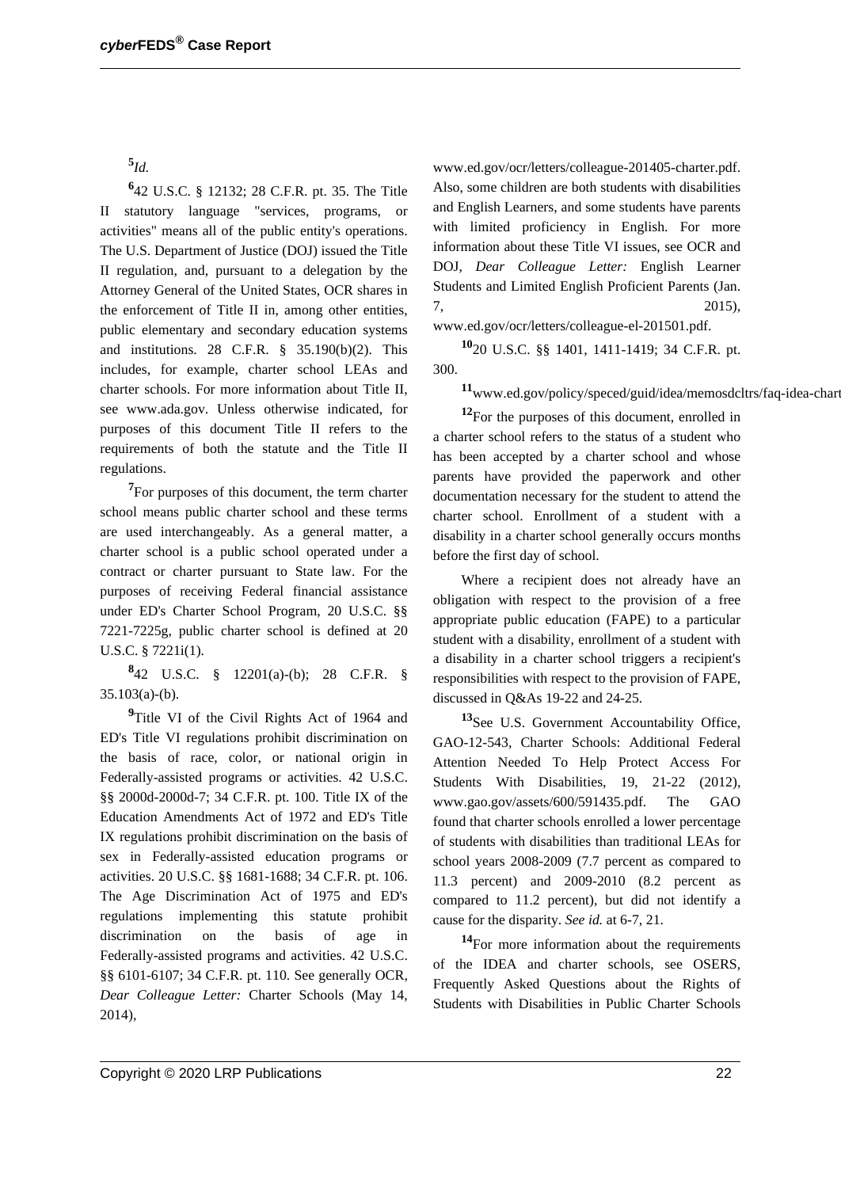# **5** *Id.*

**6** 42 U.S.C. § 12132; 28 C.F.R. pt. 35. The Title II statutory language "services, programs, or activities" means all of the public entity's operations. The U.S. Department of Justice (DOJ) issued the Title II regulation, and, pursuant to a delegation by the Attorney General of the United States, OCR shares in the enforcement of Title II in, among other entities, public elementary and secondary education systems and institutions. 28 C.F.R. § 35.190(b)(2). This includes, for example, charter school LEAs and charter schools. For more information about Title II, see www.ada.gov. Unless otherwise indicated, for purposes of this document Title II refers to the requirements of both the statute and the Title II regulations.

<sup>7</sup>For purposes of this document, the term charter school means public charter school and these terms are used interchangeably. As a general matter, a charter school is a public school operated under a contract or charter pursuant to State law. For the purposes of receiving Federal financial assistance under ED's Charter School Program, 20 U.S.C. §§ 7221-7225g, public charter school is defined at 20 U.S.C. § 7221i(1).

**8** 42 U.S.C. § 12201(a)-(b); 28 C.F.R. §  $35.103(a)-(b)$ .

<sup>9</sup>Title VI of the Civil Rights Act of 1964 and ED's Title VI regulations prohibit discrimination on the basis of race, color, or national origin in Federally-assisted programs or activities. 42 U.S.C. §§ 2000d-2000d-7; 34 C.F.R. pt. 100. Title IX of the Education Amendments Act of 1972 and ED's Title IX regulations prohibit discrimination on the basis of sex in Federally-assisted education programs or activities. 20 U.S.C. §§ 1681-1688; 34 C.F.R. pt. 106. The Age Discrimination Act of 1975 and ED's regulations implementing this statute prohibit discrimination on the basis of age in Federally-assisted programs and activities. 42 U.S.C. §§ 6101-6107; 34 C.F.R. pt. 110. See generally OCR, *Dear Colleague Letter:* Charter Schools (May 14, 2014),

www.ed.gov/ocr/letters/colleague-201405-charter.pdf. Also, some children are both students with disabilities and English Learners, and some students have parents with limited proficiency in English. For more information about these Title VI issues, see OCR and DOJ, *Dear Colleague Letter:* English Learner Students and Limited English Proficient Parents (Jan. 7, 2015),

www.ed.gov/ocr/letters/colleague-el-201501.pdf.

**<sup>10</sup>**20 U.S.C. §§ 1401, 1411-1419; 34 C.F.R. pt. 300.

11<sub>www.ed.gov/policy/speced/guid/idea/memosdcltrs/faq-idea-chart</sub>

<sup>12</sup>For the purposes of this document, enrolled in a charter school refers to the status of a student who has been accepted by a charter school and whose parents have provided the paperwork and other documentation necessary for the student to attend the charter school. Enrollment of a student with a disability in a charter school generally occurs months before the first day of school.

Where a recipient does not already have an obligation with respect to the provision of a free appropriate public education (FAPE) to a particular student with a disability, enrollment of a student with a disability in a charter school triggers a recipient's responsibilities with respect to the provision of FAPE, discussed in Q&As 19-22 and 24-25.

**<sup>13</sup>**See U.S. Government Accountability Office, GAO-12-543, Charter Schools: Additional Federal Attention Needed To Help Protect Access For Students With Disabilities, 19, 21-22 (2012), www.gao.gov/assets/600/591435.pdf. The GAO found that charter schools enrolled a lower percentage of students with disabilities than traditional LEAs for school years 2008-2009 (7.7 percent as compared to 11.3 percent) and 2009-2010 (8.2 percent as compared to 11.2 percent), but did not identify a cause for the disparity. *See id.* at 6-7, 21.

**<sup>14</sup>**For more information about the requirements of the IDEA and charter schools, see OSERS, Frequently Asked Questions about the Rights of Students with Disabilities in Public Charter Schools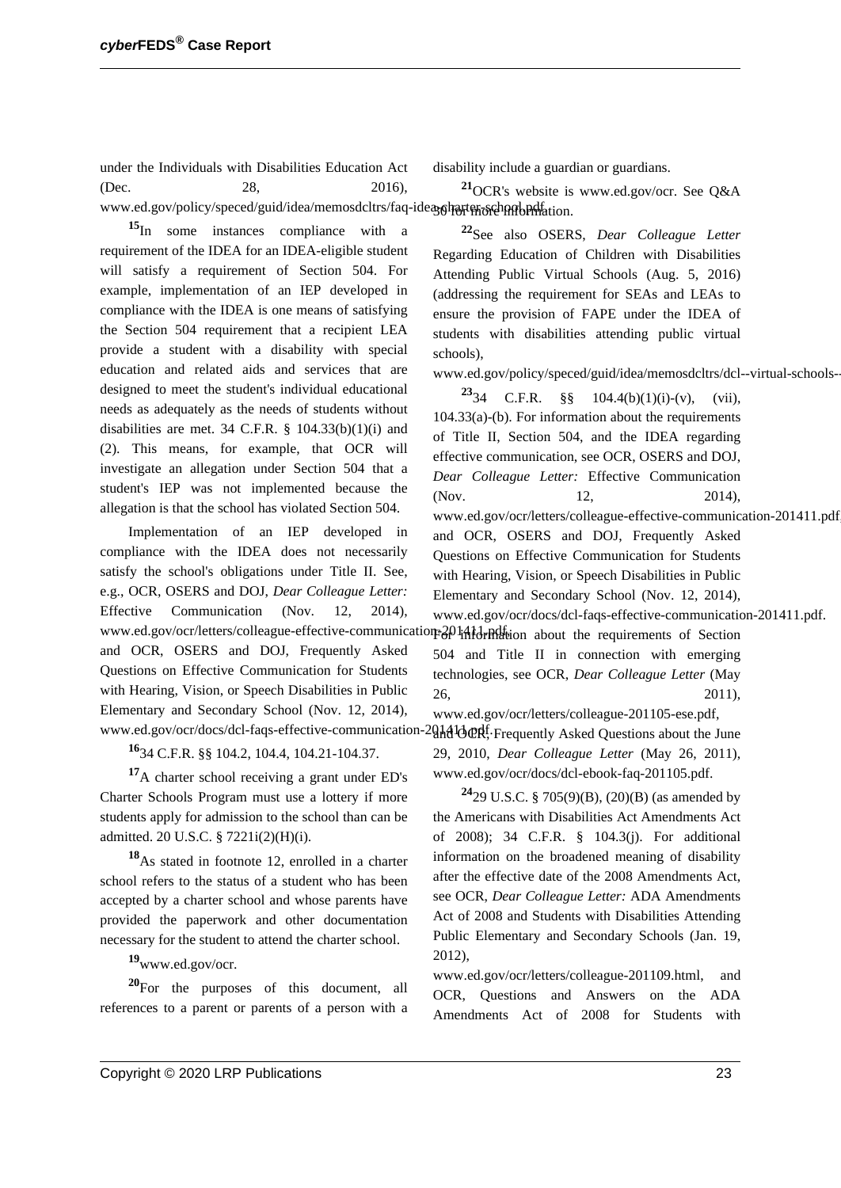under the Individuals with Disabilities Education Act (Dec. 28, 2016), disability include a guardian or guardians.

www.ed.gov/policy/speced/guid/idea/memosdcltrs/faq-idea<sub>50</sub>harter-school.pdf.tion. **<sup>15</sup>**In some instances compliance with a requirement of the IDEA for an IDEA-eligible student will satisfy a requirement of Section 504. For example, implementation of an IEP developed in compliance with the IDEA is one means of satisfying the Section 504 requirement that a recipient LEA provide a student with a disability with special education and related aids and services that are designed to meet the student's individual educational needs as adequately as the needs of students without disabilities are met. 34 C.F.R.  $\S$  104.33(b)(1)(i) and (2). This means, for example, that OCR will investigate an allegation under Section 504 that a student's IEP was not implemented because the schools),

Implementation of an IEP developed in compliance with the IDEA does not necessarily satisfy the school's obligations under Title II. See, e.g., OCR, OSERS and DOJ, *Dear Colleague Letter:* Effective Communication (Nov. 12, 2014), and OCR, OSERS and DOJ, Frequently Asked Questions on Effective Communication for Students with Hearing, Vision, or Speech Disabilities in Public Elementary and Secondary School (Nov. 12, 2014),

allegation is that the school has violated Section 504.

**<sup>16</sup>**34 C.F.R. §§ 104.2, 104.4, 104.21-104.37.

<sup>17</sup>A charter school receiving a grant under ED's Charter Schools Program must use a lottery if more students apply for admission to the school than can be admitted. 20 U.S.C. § 7221i(2)(H)(i).

**<sup>18</sup>**As stated in footnote 12, enrolled in a charter school refers to the status of a student who has been accepted by a charter school and whose parents have provided the paperwork and other documentation necessary for the student to attend the charter school.

**<sup>19</sup>**www.ed.gov/ocr.

**<sup>20</sup>**For the purposes of this document, all references to a parent or parents of a person with a

**<sup>22</sup>**See also OSERS, *Dear Colleague Letter* Regarding Education of Children with Disabilities Attending Public Virtual Schools (Aug. 5, 2016) (addressing the requirement for SEAs and LEAs to ensure the provision of FAPE under the IDEA of students with disabilities attending public virtual

**<sup>21</sup>**OCR's website is www.ed.gov/ocr. See Q&A

www.ed.gov/policy/speced/guid/idea/memosdcltrs/dcl--virtual-schools-

www.ed.gov/ocr/letters/colleague-effective-communication-20141.1-ndf-ion about the requirements of Section www.ed.gov/ocr/docs/dcl-faqs-effective-communication-2014 loter of Frequently Asked Questions about the June **23**34 C.F.R. §§  $104.4(b)(1)(i)-(v)$ , (vii), 104.33(a)-(b). For information about the requirements of Title II, Section 504, and the IDEA regarding effective communication, see OCR, OSERS and DOJ, *Dear Colleague Letter:* Effective Communication (Nov. 12, 2014), www.ed.gov/ocr/letters/colleague-effective-communication-201411.pdf, and OCR, OSERS and DOJ, Frequently Asked Questions on Effective Communication for Students with Hearing, Vision, or Speech Disabilities in Public Elementary and Secondary School (Nov. 12, 2014), www.ed.gov/ocr/docs/dcl-faqs-effective-communication-201411.pdf. 504 and Title II in connection with emerging technologies, see OCR, *Dear Colleague Letter* (May 26, 2011), www.ed.gov/ocr/letters/colleague-201105-ese.pdf, 29, 2010, *Dear Colleague Letter* (May 26, 2011), www.ed.gov/ocr/docs/dcl-ebook-faq-201105.pdf. **<sup>24</sup>**29 U.S.C. § 705(9)(B), (20)(B) (as amended by

the Americans with Disabilities Act Amendments Act of 2008); 34 C.F.R. § 104.3(j). For additional information on the broadened meaning of disability after the effective date of the 2008 Amendments Act, see OCR, *Dear Colleague Letter:* ADA Amendments Act of 2008 and Students with Disabilities Attending Public Elementary and Secondary Schools (Jan. 19, 2012),

www.ed.gov/ocr/letters/colleague-201109.html, and OCR, Questions and Answers on the ADA Amendments Act of 2008 for Students with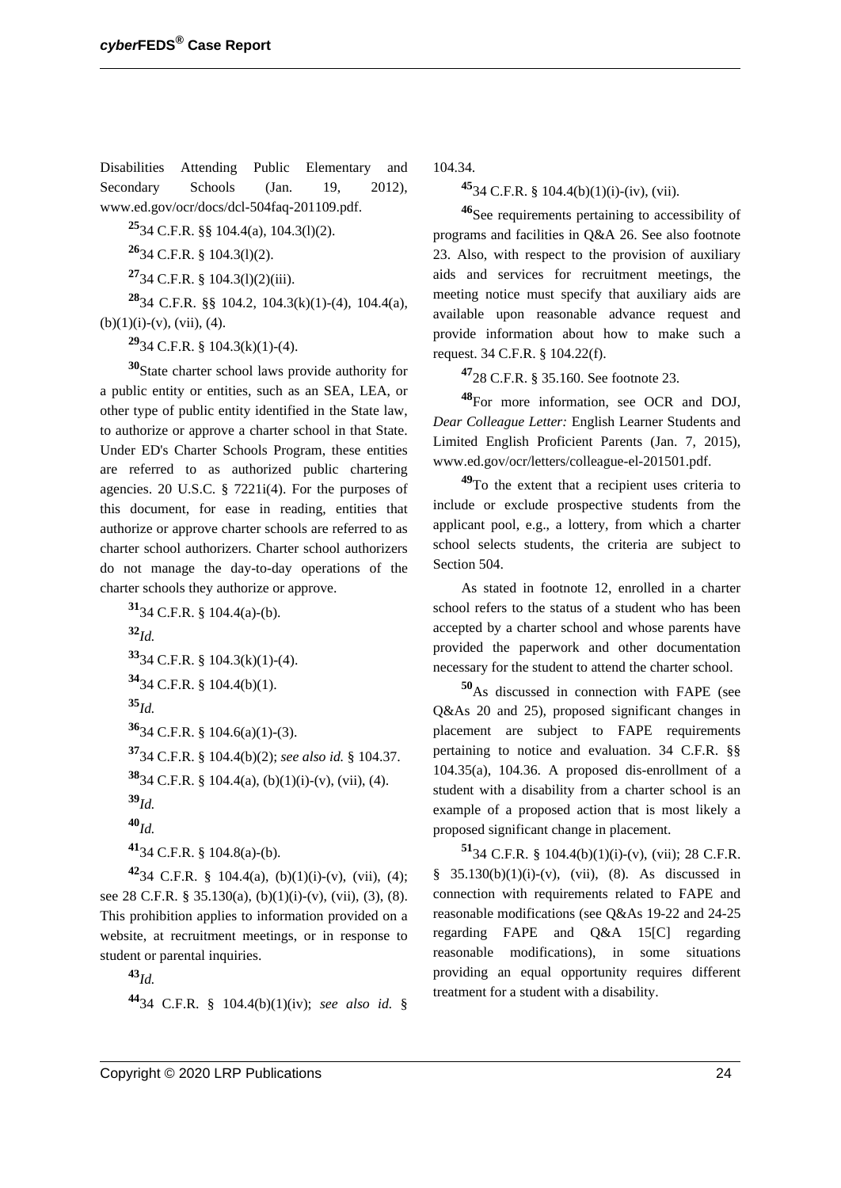Disabilities Attending Public Elementary and Secondary Schools (Jan. 19, 2012), www.ed.gov/ocr/docs/dcl-504faq-201109.pdf.

**<sup>25</sup>**34 C.F.R. §§ 104.4(a), 104.3(l)(2).

**<sup>26</sup>**34 C.F.R. § 104.3(l)(2).

**<sup>27</sup>**34 C.F.R. § 104.3(l)(2)(iii).

**<sup>28</sup>**34 C.F.R. §§ 104.2, 104.3(k)(1)-(4), 104.4(a),  $(b)(1)(i)-(v)$ ,  $(vii)$ ,  $(4)$ .

**<sup>29</sup>**34 C.F.R. § 104.3(k)(1)-(4).

**<sup>30</sup>**State charter school laws provide authority for a public entity or entities, such as an SEA, LEA, or other type of public entity identified in the State law, to authorize or approve a charter school in that State. Under ED's Charter Schools Program, these entities are referred to as authorized public chartering agencies. 20 U.S.C. § 7221i(4). For the purposes of this document, for ease in reading, entities that authorize or approve charter schools are referred to as charter school authorizers. Charter school authorizers do not manage the day-to-day operations of the charter schools they authorize or approve.

**<sup>31</sup>**34 C.F.R. § 104.4(a)-(b).

**<sup>32</sup>***Id.*

**<sup>33</sup>**34 C.F.R. § 104.3(k)(1)-(4).

$$
3434 \text{ C.F.R. } \S 104.4(b)(1).
$$

**<sup>35</sup>***Id.*

**<sup>36</sup>**34 C.F.R. § 104.6(a)(1)-(3).

**<sup>37</sup>**34 C.F.R. § 104.4(b)(2); *see also id.* § 104.37.

**38**34 C.F.R. § 104.4(a), (b)(1)(i)-(v), (vii), (4).

**<sup>39</sup>***Id.*

**<sup>40</sup>***Id.*

**<sup>41</sup>**34 C.F.R. § 104.8(a)-(b).

**<sup>42</sup>**34 C.F.R. § 104.4(a), (b)(1)(i)-(v), (vii), (4); see 28 C.F.R. § 35.130(a), (b)(1)(i)-(v), (vii), (3), (8). This prohibition applies to information provided on a website, at recruitment meetings, or in response to student or parental inquiries.

**<sup>43</sup>***Id.*

**<sup>44</sup>**34 C.F.R. § 104.4(b)(1)(iv); *see also id.* §

104.34.

**<sup>45</sup>**34 C.F.R. § 104.4(b)(1)(i)-(iv), (vii).

**<sup>46</sup>**See requirements pertaining to accessibility of programs and facilities in Q&A 26. See also footnote 23. Also, with respect to the provision of auxiliary aids and services for recruitment meetings, the meeting notice must specify that auxiliary aids are available upon reasonable advance request and provide information about how to make such a request. 34 C.F.R. § 104.22(f).

**<sup>47</sup>**28 C.F.R. § 35.160. See footnote 23.

**<sup>48</sup>**For more information, see OCR and DOJ, *Dear Colleague Letter:* English Learner Students and Limited English Proficient Parents (Jan. 7, 2015), www.ed.gov/ocr/letters/colleague-el-201501.pdf.

**<sup>49</sup>**To the extent that a recipient uses criteria to include or exclude prospective students from the applicant pool, e.g., a lottery, from which a charter school selects students, the criteria are subject to Section 504.

As stated in footnote 12, enrolled in a charter school refers to the status of a student who has been accepted by a charter school and whose parents have provided the paperwork and other documentation necessary for the student to attend the charter school.

**<sup>50</sup>**As discussed in connection with FAPE (see Q&As 20 and 25), proposed significant changes in placement are subject to FAPE requirements pertaining to notice and evaluation. 34 C.F.R. §§ 104.35(a), 104.36. A proposed dis-enrollment of a student with a disability from a charter school is an example of a proposed action that is most likely a proposed significant change in placement.

**51**34 C.F.R. § 104.4(b)(1)(i)-(v), (vii); 28 C.F.R. §  $35.130(b)(1)(i)-(v)$ , (vii), (8). As discussed in connection with requirements related to FAPE and reasonable modifications (see Q&As 19-22 and 24-25 regarding FAPE and Q&A 15[C] regarding reasonable modifications), in some situations providing an equal opportunity requires different treatment for a student with a disability.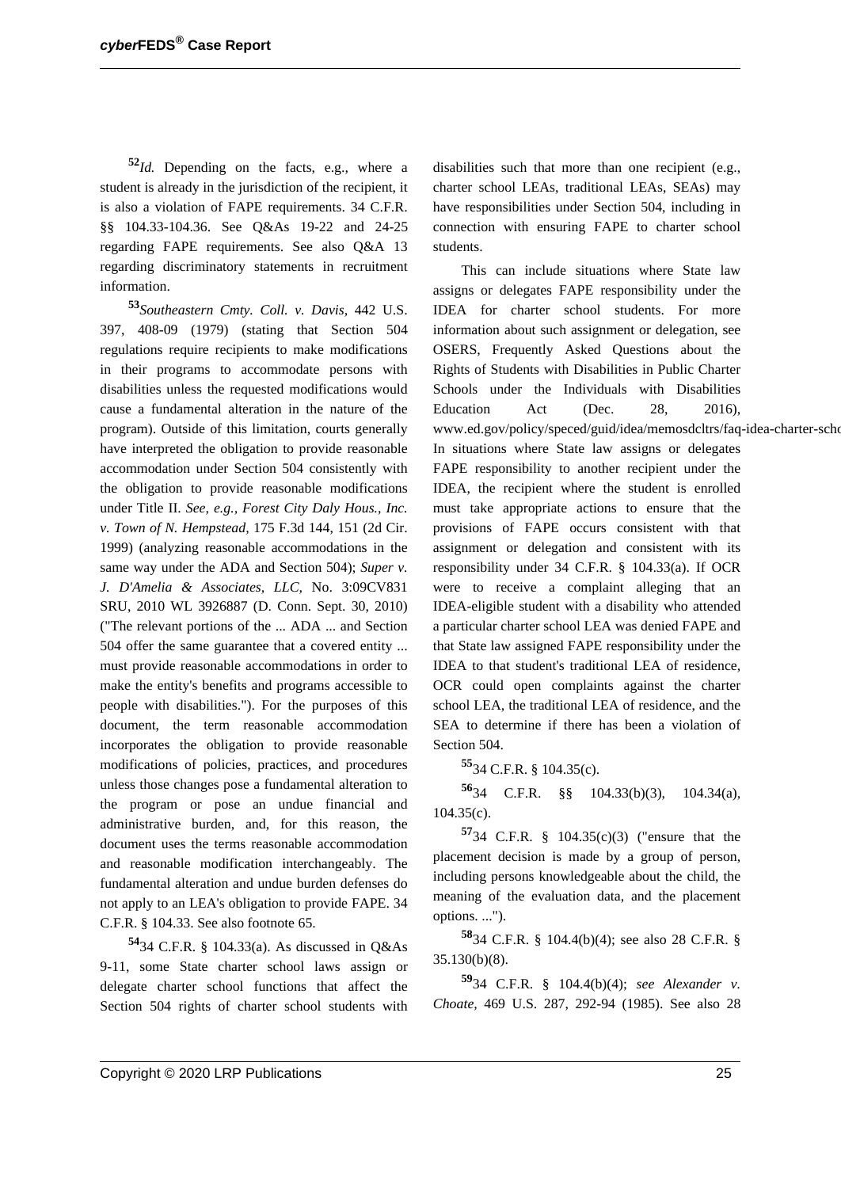**<sup>52</sup>***Id.* Depending on the facts, e.g., where a student is already in the jurisdiction of the recipient, it is also a violation of FAPE requirements. 34 C.F.R. §§ 104.33-104.36. See Q&As 19-22 and 24-25 regarding FAPE requirements. See also Q&A 13 regarding discriminatory statements in recruitment information.

**<sup>53</sup>***Southeastern Cmty. Coll. v. Davis,* 442 U.S. 397, 408-09 (1979) (stating that Section 504 regulations require recipients to make modifications in their programs to accommodate persons with disabilities unless the requested modifications would cause a fundamental alteration in the nature of the program). Outside of this limitation, courts generally have interpreted the obligation to provide reasonable accommodation under Section 504 consistently with the obligation to provide reasonable modifications under Title II. *See, e.g., Forest City Daly Hous., Inc. v. Town of N. Hempstead,* 175 F.3d 144, 151 (2d Cir. 1999) (analyzing reasonable accommodations in the same way under the ADA and Section 504); *Super v. J. D'Amelia & Associates, LLC,* No. 3:09CV831 SRU, 2010 WL 3926887 (D. Conn. Sept. 30, 2010) ("The relevant portions of the ... ADA ... and Section 504 offer the same guarantee that a covered entity ... must provide reasonable accommodations in order to make the entity's benefits and programs accessible to people with disabilities."). For the purposes of this document, the term reasonable accommodation incorporates the obligation to provide reasonable modifications of policies, practices, and procedures unless those changes pose a fundamental alteration to the program or pose an undue financial and administrative burden, and, for this reason, the document uses the terms reasonable accommodation and reasonable modification interchangeably. The fundamental alteration and undue burden defenses do not apply to an LEA's obligation to provide FAPE. 34 C.F.R. § 104.33. See also footnote 65.

**<sup>54</sup>**34 C.F.R. § 104.33(a). As discussed in Q&As 9-11, some State charter school laws assign or delegate charter school functions that affect the Section 504 rights of charter school students with disabilities such that more than one recipient (e.g., charter school LEAs, traditional LEAs, SEAs) may have responsibilities under Section 504, including in connection with ensuring FAPE to charter school students.

This can include situations where State law assigns or delegates FAPE responsibility under the IDEA for charter school students. For more information about such assignment or delegation, see OSERS, Frequently Asked Questions about the Rights of Students with Disabilities in Public Charter Schools under the Individuals with Disabilities Education Act (Dec. 28, 2016), www.ed.gov/policy/speced/guid/idea/memosdcltrs/faq-idea-charter-scho In situations where State law assigns or delegates FAPE responsibility to another recipient under the IDEA, the recipient where the student is enrolled must take appropriate actions to ensure that the provisions of FAPE occurs consistent with that assignment or delegation and consistent with its responsibility under 34 C.F.R. § 104.33(a). If OCR were to receive a complaint alleging that an IDEA-eligible student with a disability who attended a particular charter school LEA was denied FAPE and that State law assigned FAPE responsibility under the IDEA to that student's traditional LEA of residence, OCR could open complaints against the charter school LEA, the traditional LEA of residence, and the SEA to determine if there has been a violation of Section 504.

**<sup>55</sup>**34 C.F.R. § 104.35(c).

**<sup>56</sup>**34 C.F.R. §§ 104.33(b)(3), 104.34(a), 104.35(c).

**<sup>57</sup>**34 C.F.R. § 104.35(c)(3) ("ensure that the placement decision is made by a group of person, including persons knowledgeable about the child, the meaning of the evaluation data, and the placement options. ...").

**<sup>58</sup>**34 C.F.R. § 104.4(b)(4); see also 28 C.F.R. § 35.130(b)(8).

**<sup>59</sup>**34 C.F.R. § 104.4(b)(4); *see Alexander v. Choate,* 469 U.S. 287, 292-94 (1985). See also 28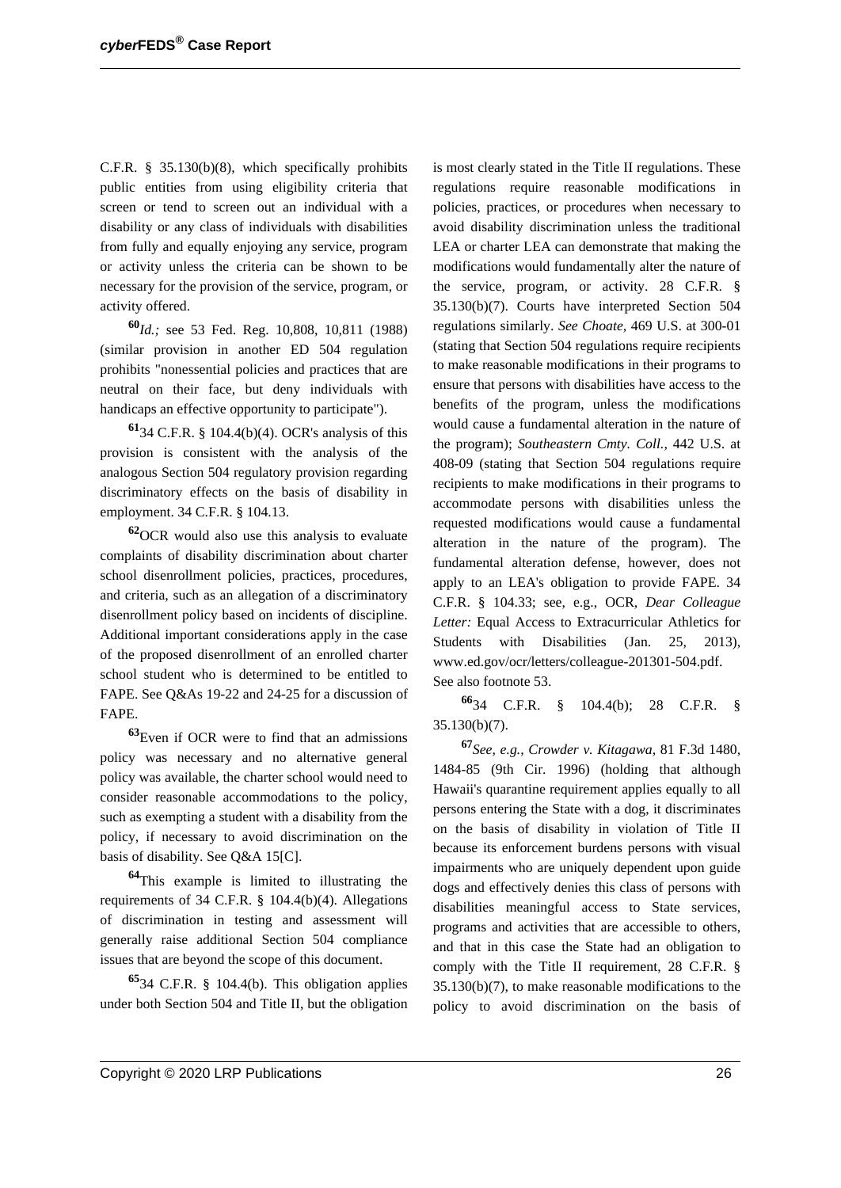C.F.R. § 35.130(b)(8), which specifically prohibits public entities from using eligibility criteria that screen or tend to screen out an individual with a disability or any class of individuals with disabilities from fully and equally enjoying any service, program or activity unless the criteria can be shown to be necessary for the provision of the service, program, or activity offered.

**<sup>60</sup>***Id.;* see 53 Fed. Reg. 10,808, 10,811 (1988) (similar provision in another ED 504 regulation prohibits "nonessential policies and practices that are neutral on their face, but deny individuals with handicaps an effective opportunity to participate").

**<sup>61</sup>**34 C.F.R. § 104.4(b)(4). OCR's analysis of this provision is consistent with the analysis of the analogous Section 504 regulatory provision regarding discriminatory effects on the basis of disability in employment. 34 C.F.R. § 104.13.

**<sup>62</sup>**OCR would also use this analysis to evaluate complaints of disability discrimination about charter school disenrollment policies, practices, procedures, and criteria, such as an allegation of a discriminatory disenrollment policy based on incidents of discipline. Additional important considerations apply in the case of the proposed disenrollment of an enrolled charter school student who is determined to be entitled to FAPE. See Q&As 19-22 and 24-25 for a discussion of FAPE.

**<sup>63</sup>**Even if OCR were to find that an admissions policy was necessary and no alternative general policy was available, the charter school would need to consider reasonable accommodations to the policy, such as exempting a student with a disability from the policy, if necessary to avoid discrimination on the basis of disability. See Q&A 15[C].

**<sup>64</sup>**This example is limited to illustrating the requirements of 34 C.F.R. § 104.4(b)(4). Allegations of discrimination in testing and assessment will generally raise additional Section 504 compliance issues that are beyond the scope of this document.

**<sup>65</sup>**34 C.F.R. § 104.4(b). This obligation applies under both Section 504 and Title II, but the obligation is most clearly stated in the Title II regulations. These regulations require reasonable modifications in policies, practices, or procedures when necessary to avoid disability discrimination unless the traditional LEA or charter LEA can demonstrate that making the modifications would fundamentally alter the nature of the service, program, or activity. 28 C.F.R. § 35.130(b)(7). Courts have interpreted Section 504 regulations similarly. *See Choate,* 469 U.S. at 300-01 (stating that Section 504 regulations require recipients to make reasonable modifications in their programs to ensure that persons with disabilities have access to the benefits of the program, unless the modifications would cause a fundamental alteration in the nature of the program); *Southeastern Cmty. Coll.,* 442 U.S. at 408-09 (stating that Section 504 regulations require recipients to make modifications in their programs to accommodate persons with disabilities unless the requested modifications would cause a fundamental alteration in the nature of the program). The fundamental alteration defense, however, does not apply to an LEA's obligation to provide FAPE. 34 C.F.R. § 104.33; see, e.g., OCR, *Dear Colleague Letter:* Equal Access to Extracurricular Athletics for Students with Disabilities (Jan. 25, 2013), www.ed.gov/ocr/letters/colleague-201301-504.pdf. See also footnote 53.

**<sup>66</sup>**34 C.F.R. § 104.4(b); 28 C.F.R. § 35.130(b)(7).

**<sup>67</sup>***See, e.g., Crowder v. Kitagawa,* 81 F.3d 1480, 1484-85 (9th Cir. 1996) (holding that although Hawaii's quarantine requirement applies equally to all persons entering the State with a dog, it discriminates on the basis of disability in violation of Title II because its enforcement burdens persons with visual impairments who are uniquely dependent upon guide dogs and effectively denies this class of persons with disabilities meaningful access to State services, programs and activities that are accessible to others, and that in this case the State had an obligation to comply with the Title II requirement, 28 C.F.R. § 35.130(b)(7), to make reasonable modifications to the policy to avoid discrimination on the basis of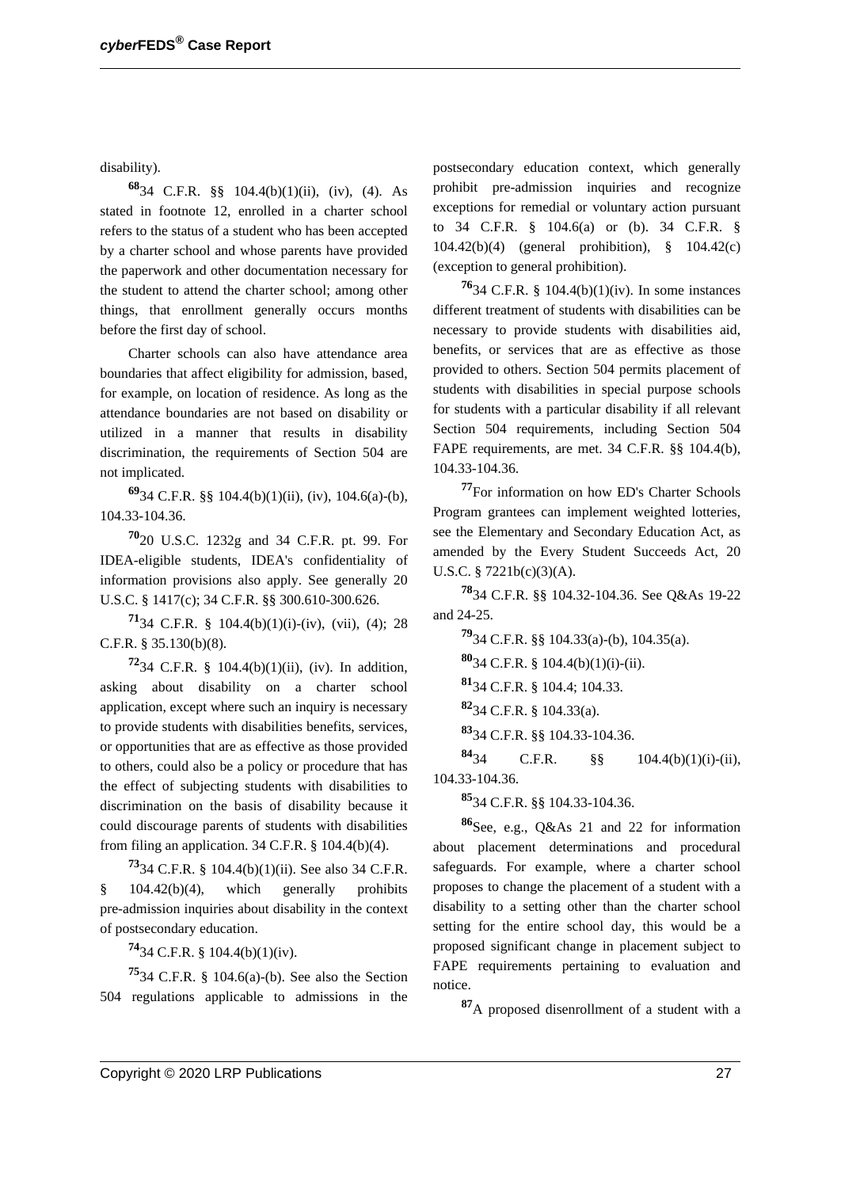disability).

**<sup>68</sup>**34 C.F.R. §§ 104.4(b)(1)(ii), (iv), (4). As stated in footnote 12, enrolled in a charter school refers to the status of a student who has been accepted by a charter school and whose parents have provided the paperwork and other documentation necessary for the student to attend the charter school; among other things, that enrollment generally occurs months before the first day of school.

Charter schools can also have attendance area boundaries that affect eligibility for admission, based, for example, on location of residence. As long as the attendance boundaries are not based on disability or utilized in a manner that results in disability discrimination, the requirements of Section 504 are not implicated.

**<sup>69</sup>**34 C.F.R. §§ 104.4(b)(1)(ii), (iv), 104.6(a)-(b), 104.33-104.36.

**<sup>70</sup>**20 U.S.C. 1232g and 34 C.F.R. pt. 99. For IDEA-eligible students, IDEA's confidentiality of information provisions also apply. See generally 20 U.S.C. § 1417(c); 34 C.F.R. §§ 300.610-300.626.

**71**34 C.F.R. § 104.4(b)(1)(i)-(iv), (vii), (4); 28 C.F.R. § 35.130(b)(8).

**<sup>72</sup>**34 C.F.R. § 104.4(b)(1)(ii), (iv). In addition, asking about disability on a charter school application, except where such an inquiry is necessary to provide students with disabilities benefits, services, or opportunities that are as effective as those provided to others, could also be a policy or procedure that has the effect of subjecting students with disabilities to discrimination on the basis of disability because it could discourage parents of students with disabilities from filing an application.  $34$  C.F.R. §  $104.4(b)(4)$ .

**<sup>73</sup>**34 C.F.R. § 104.4(b)(1)(ii). See also 34 C.F.R.  $§$  104.42(b)(4), which generally prohibits pre-admission inquiries about disability in the context of postsecondary education.

**<sup>74</sup>**34 C.F.R. § 104.4(b)(1)(iv).

**<sup>75</sup>**34 C.F.R. § 104.6(a)-(b). See also the Section 504 regulations applicable to admissions in the

postsecondary education context, which generally prohibit pre-admission inquiries and recognize exceptions for remedial or voluntary action pursuant to 34 C.F.R. § 104.6(a) or (b). 34 C.F.R. § 104.42(b)(4) (general prohibition), § 104.42(c) (exception to general prohibition).

**<sup>76</sup>**34 C.F.R. § 104.4(b)(1)(iv). In some instances different treatment of students with disabilities can be necessary to provide students with disabilities aid, benefits, or services that are as effective as those provided to others. Section 504 permits placement of students with disabilities in special purpose schools for students with a particular disability if all relevant Section 504 requirements, including Section 504 FAPE requirements, are met. 34 C.F.R. §§ 104.4(b), 104.33-104.36.

**<sup>77</sup>**For information on how ED's Charter Schools Program grantees can implement weighted lotteries, see the Elementary and Secondary Education Act, as amended by the Every Student Succeeds Act, 20 U.S.C. § 7221b(c)(3)(A).

**<sup>78</sup>**34 C.F.R. §§ 104.32-104.36. See Q&As 19-22 and 24-25.

**<sup>79</sup>**34 C.F.R. §§ 104.33(a)-(b), 104.35(a).

**<sup>80</sup>**34 C.F.R. § 104.4(b)(1)(i)-(ii).

**<sup>81</sup>**34 C.F.R. § 104.4; 104.33.

**<sup>82</sup>**34 C.F.R. § 104.33(a).

**<sup>83</sup>**34 C.F.R. §§ 104.33-104.36.

**<sup>84</sup>**34 C.F.R. §§ 104.4(b)(1)(i)-(ii), 104.33-104.36.

**<sup>85</sup>**34 C.F.R. §§ 104.33-104.36.

**<sup>86</sup>**See, e.g., Q&As 21 and 22 for information about placement determinations and procedural safeguards. For example, where a charter school proposes to change the placement of a student with a disability to a setting other than the charter school setting for the entire school day, this would be a proposed significant change in placement subject to FAPE requirements pertaining to evaluation and notice.

**<sup>87</sup>**A proposed disenrollment of a student with a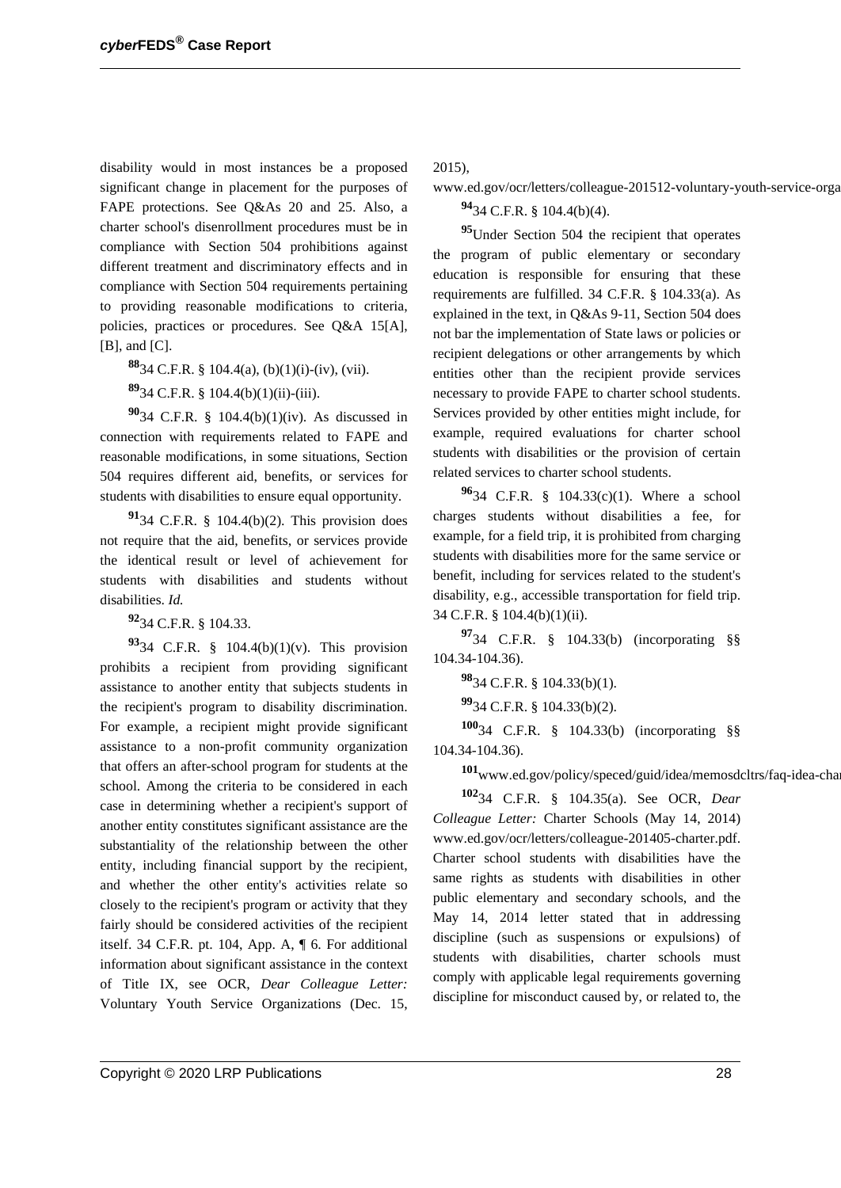disability would in most instances be a proposed significant change in placement for the purposes of FAPE protections. See Q&As 20 and 25. Also, a charter school's disenrollment procedures must be in compliance with Section 504 prohibitions against different treatment and discriminatory effects and in compliance with Section 504 requirements pertaining to providing reasonable modifications to criteria, policies, practices or procedures. See Q&A 15[A], [B], and [C].

**<sup>88</sup>**34 C.F.R. § 104.4(a), (b)(1)(i)-(iv), (vii).

**<sup>89</sup>**34 C.F.R. § 104.4(b)(1)(ii)-(iii).

**<sup>90</sup>**34 C.F.R. § 104.4(b)(1)(iv). As discussed in connection with requirements related to FAPE and reasonable modifications, in some situations, Section 504 requires different aid, benefits, or services for students with disabilities to ensure equal opportunity.

**<sup>91</sup>**34 C.F.R. § 104.4(b)(2). This provision does not require that the aid, benefits, or services provide the identical result or level of achievement for students with disabilities and students without disabilities. *Id.*

**<sup>92</sup>**34 C.F.R. § 104.33.

**<sup>93</sup>**34 C.F.R. § 104.4(b)(1)(v). This provision prohibits a recipient from providing significant assistance to another entity that subjects students in the recipient's program to disability discrimination. For example, a recipient might provide significant assistance to a non-profit community organization that offers an after-school program for students at the school. Among the criteria to be considered in each case in determining whether a recipient's support of another entity constitutes significant assistance are the substantiality of the relationship between the other entity, including financial support by the recipient, and whether the other entity's activities relate so closely to the recipient's program or activity that they fairly should be considered activities of the recipient itself. 34 C.F.R. pt. 104, App. A, ¶ 6. For additional information about significant assistance in the context of Title IX, see OCR, *Dear Colleague Letter:* Voluntary Youth Service Organizations (Dec. 15, 2015),

www.ed.gov/ocr/letters/colleague-201512-voluntary-youth-service-orga

**<sup>94</sup>**34 C.F.R. § 104.4(b)(4).

**<sup>95</sup>**Under Section 504 the recipient that operates the program of public elementary or secondary education is responsible for ensuring that these requirements are fulfilled. 34 C.F.R. § 104.33(a). As explained in the text, in Q&As 9-11, Section 504 does not bar the implementation of State laws or policies or recipient delegations or other arrangements by which entities other than the recipient provide services necessary to provide FAPE to charter school students. Services provided by other entities might include, for example, required evaluations for charter school students with disabilities or the provision of certain related services to charter school students.

**<sup>96</sup>**34 C.F.R. § 104.33(c)(1). Where a school charges students without disabilities a fee, for example, for a field trip, it is prohibited from charging students with disabilities more for the same service or benefit, including for services related to the student's disability, e.g., accessible transportation for field trip. 34 C.F.R. § 104.4(b)(1)(ii).

**<sup>97</sup>**34 C.F.R. § 104.33(b) (incorporating §§ 104.34-104.36).

**<sup>98</sup>**34 C.F.R. § 104.33(b)(1).

**<sup>99</sup>**34 C.F.R. § 104.33(b)(2).

**<sup>100</sup>**34 C.F.R. § 104.33(b) (incorporating §§ 104.34-104.36).

101<sub>www.ed.gov/policy/speced/guid/idea/memosdcltrs/faq-idea-cha</sub>

**<sup>102</sup>**34 C.F.R. § 104.35(a). See OCR, *Dear Colleague Letter:* Charter Schools (May 14, 2014) www.ed.gov/ocr/letters/colleague-201405-charter.pdf. Charter school students with disabilities have the same rights as students with disabilities in other public elementary and secondary schools, and the May 14, 2014 letter stated that in addressing discipline (such as suspensions or expulsions) of students with disabilities, charter schools must comply with applicable legal requirements governing discipline for misconduct caused by, or related to, the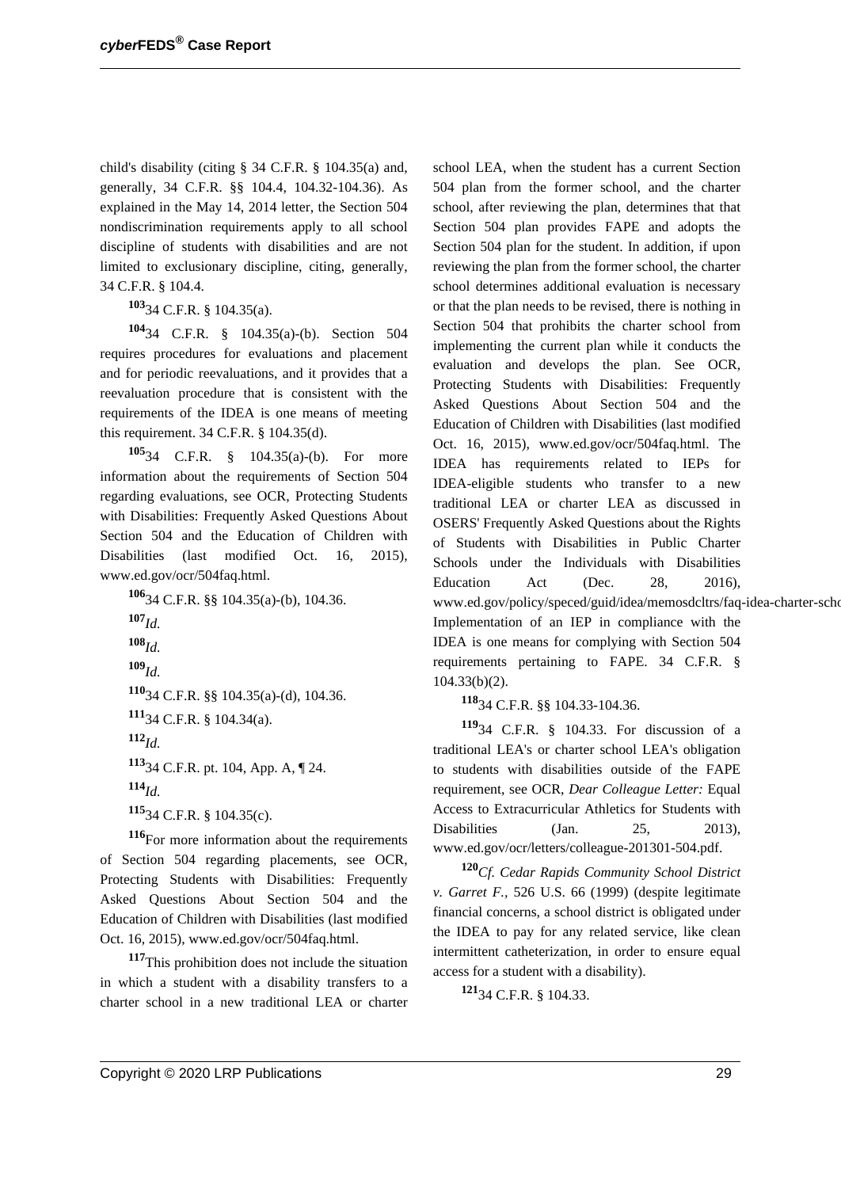child's disability (citing § 34 C.F.R. § 104.35(a) and, generally, 34 C.F.R. §§ 104.4, 104.32-104.36). As explained in the May 14, 2014 letter, the Section 504 nondiscrimination requirements apply to all school discipline of students with disabilities and are not limited to exclusionary discipline, citing, generally, 34 C.F.R. § 104.4.

**<sup>103</sup>**34 C.F.R. § 104.35(a).

**<sup>104</sup>**34 C.F.R. § 104.35(a)-(b). Section 504 requires procedures for evaluations and placement and for periodic reevaluations, and it provides that a reevaluation procedure that is consistent with the requirements of the IDEA is one means of meeting this requirement. 34 C.F.R. § 104.35(d).

**<sup>105</sup>**34 C.F.R. § 104.35(a)-(b). For more information about the requirements of Section 504 regarding evaluations, see OCR, Protecting Students with Disabilities: Frequently Asked Questions About Section 504 and the Education of Children with Disabilities (last modified Oct. 16, 2015), www.ed.gov/ocr/504faq.html.

**<sup>106</sup>**34 C.F.R. §§ 104.35(a)-(b), 104.36. **<sup>107</sup>***Id.* **<sup>108</sup>***Id.* **<sup>109</sup>***Id.* **<sup>110</sup>**34 C.F.R. §§ 104.35(a)-(d), 104.36. **<sup>111</sup>**34 C.F.R. § 104.34(a). **<sup>112</sup>***Id.* **<sup>113</sup>**34 C.F.R. pt. 104, App. A, ¶ 24. **<sup>114</sup>***Id.* **<sup>115</sup>**34 C.F.R. § 104.35(c).

**<sup>116</sup>**For more information about the requirements of Section 504 regarding placements, see OCR, Protecting Students with Disabilities: Frequently Asked Questions About Section 504 and the Education of Children with Disabilities (last modified Oct. 16, 2015), www.ed.gov/ocr/504faq.html.

**<sup>117</sup>**This prohibition does not include the situation in which a student with a disability transfers to a charter school in a new traditional LEA or charter

school LEA, when the student has a current Section 504 plan from the former school, and the charter school, after reviewing the plan, determines that that Section 504 plan provides FAPE and adopts the Section 504 plan for the student. In addition, if upon reviewing the plan from the former school, the charter school determines additional evaluation is necessary or that the plan needs to be revised, there is nothing in Section 504 that prohibits the charter school from implementing the current plan while it conducts the evaluation and develops the plan. See OCR, Protecting Students with Disabilities: Frequently Asked Questions About Section 504 and the Education of Children with Disabilities (last modified Oct. 16, 2015), www.ed.gov/ocr/504faq.html. The IDEA has requirements related to IEPs for IDEA-eligible students who transfer to a new traditional LEA or charter LEA as discussed in OSERS' Frequently Asked Questions about the Rights of Students with Disabilities in Public Charter Schools under the Individuals with Disabilities Education Act (Dec. 28, 2016), www.ed.gov/policy/speced/guid/idea/memosdcltrs/faq-idea-charter-scho Implementation of an IEP in compliance with the IDEA is one means for complying with Section 504 requirements pertaining to FAPE. 34 C.F.R. § 104.33(b)(2).

**<sup>118</sup>**34 C.F.R. §§ 104.33-104.36.

**<sup>119</sup>**34 C.F.R. § 104.33. For discussion of a traditional LEA's or charter school LEA's obligation to students with disabilities outside of the FAPE requirement, see OCR, *Dear Colleague Letter:* Equal Access to Extracurricular Athletics for Students with Disabilities (Jan. 25, 2013), www.ed.gov/ocr/letters/colleague-201301-504.pdf.

**<sup>120</sup>***Cf. Cedar Rapids Community School District v. Garret F.,* 526 U.S. 66 (1999) (despite legitimate financial concerns, a school district is obligated under the IDEA to pay for any related service, like clean intermittent catheterization, in order to ensure equal access for a student with a disability).

**<sup>121</sup>**34 C.F.R. § 104.33.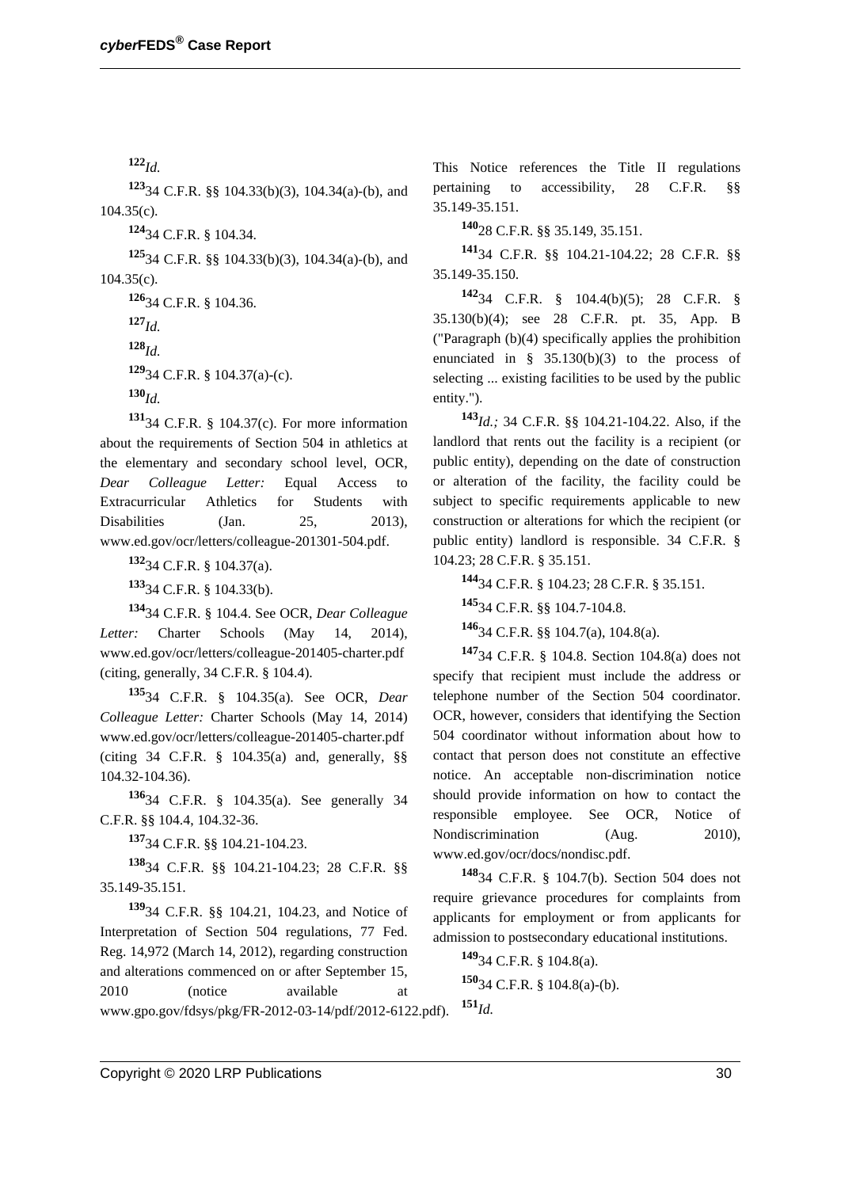**<sup>122</sup>***Id.*

**<sup>123</sup>**34 C.F.R. §§ 104.33(b)(3), 104.34(a)-(b), and  $104.35(c)$ .

**<sup>124</sup>**34 C.F.R. § 104.34.

**<sup>125</sup>**34 C.F.R. §§ 104.33(b)(3), 104.34(a)-(b), and 104.35(c).

**<sup>126</sup>**34 C.F.R. § 104.36. **<sup>127</sup>***Id.* **<sup>128</sup>***Id.* **<sup>129</sup>**34 C.F.R. § 104.37(a)-(c). **<sup>130</sup>***Id.*

**<sup>131</sup>**34 C.F.R. § 104.37(c). For more information about the requirements of Section 504 in athletics at the elementary and secondary school level, OCR, *Dear Colleague Letter:* Equal Access to Extracurricular Athletics for Students with Disabilities (Jan. 25, 2013), www.ed.gov/ocr/letters/colleague-201301-504.pdf.

**<sup>132</sup>**34 C.F.R. § 104.37(a). **<sup>133</sup>**34 C.F.R. § 104.33(b).

**<sup>134</sup>**34 C.F.R. § 104.4. See OCR, *Dear Colleague Letter:* Charter Schools (May 14, 2014), www.ed.gov/ocr/letters/colleague-201405-charter.pdf (citing, generally, 34 C.F.R. § 104.4).

**<sup>135</sup>**34 C.F.R. § 104.35(a). See OCR, *Dear Colleague Letter:* Charter Schools (May 14, 2014) www.ed.gov/ocr/letters/colleague-201405-charter.pdf (citing 34 C.F.R. § 104.35(a) and, generally, §§ 104.32-104.36).

**<sup>136</sup>**34 C.F.R. § 104.35(a). See generally 34 C.F.R. §§ 104.4, 104.32-36.

**<sup>137</sup>**34 C.F.R. §§ 104.21-104.23.

**<sup>138</sup>**34 C.F.R. §§ 104.21-104.23; 28 C.F.R. §§ 35.149-35.151.

**<sup>139</sup>**34 C.F.R. §§ 104.21, 104.23, and Notice of Interpretation of Section 504 regulations, 77 Fed. Reg. 14,972 (March 14, 2012), regarding construction and alterations commenced on or after September 15, 2010 (notice available at

This Notice references the Title II regulations pertaining to accessibility, 28 C.F.R. §§ 35.149-35.151.

**<sup>140</sup>**28 C.F.R. §§ 35.149, 35.151.

**<sup>141</sup>**34 C.F.R. §§ 104.21-104.22; 28 C.F.R. §§ 35.149-35.150.

**<sup>142</sup>**34 C.F.R. § 104.4(b)(5); 28 C.F.R. § 35.130(b)(4); see 28 C.F.R. pt. 35, App. B ("Paragraph (b)(4) specifically applies the prohibition enunciated in § 35.130(b)(3) to the process of selecting ... existing facilities to be used by the public entity.").

**<sup>143</sup>***Id.;* 34 C.F.R. §§ 104.21-104.22. Also, if the landlord that rents out the facility is a recipient (or public entity), depending on the date of construction or alteration of the facility, the facility could be subject to specific requirements applicable to new construction or alterations for which the recipient (or public entity) landlord is responsible. 34 C.F.R. § 104.23; 28 C.F.R. § 35.151.

**<sup>144</sup>**34 C.F.R. § 104.23; 28 C.F.R. § 35.151.

**<sup>145</sup>**34 C.F.R. §§ 104.7-104.8.

**<sup>146</sup>**34 C.F.R. §§ 104.7(a), 104.8(a).

**<sup>147</sup>**34 C.F.R. § 104.8. Section 104.8(a) does not specify that recipient must include the address or telephone number of the Section 504 coordinator. OCR, however, considers that identifying the Section 504 coordinator without information about how to contact that person does not constitute an effective notice. An acceptable non-discrimination notice should provide information on how to contact the responsible employee. See OCR, Notice of Nondiscrimination (Aug. 2010), www.ed.gov/ocr/docs/nondisc.pdf.

**<sup>148</sup>**34 C.F.R. § 104.7(b). Section 504 does not require grievance procedures for complaints from applicants for employment or from applicants for admission to postsecondary educational institutions.

**<sup>149</sup>**34 C.F.R. § 104.8(a). **<sup>150</sup>**34 C.F.R. § 104.8(a)-(b).

www.gpo.gov/fdsys/pkg/FR-2012-03-14/pdf/2012-6122.pdf). **<sup>151</sup>***Id.*